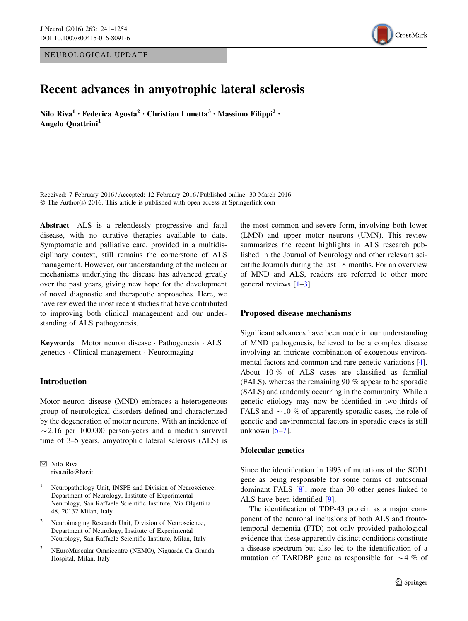NEUROLOGICAL UPDATE



# Recent advances in amyotrophic lateral sclerosis

Nilo Riva<sup>1</sup> • Federica Agosta<sup>2</sup> • Christian Lunetta<sup>3</sup> • Massimo Filippi<sup>2</sup> • Angelo Quattrini<sup>1</sup>

Received: 7 February 2016 / Accepted: 12 February 2016 / Published online: 30 March 2016 © The Author(s) 2016. This article is published with open access at Springerlink.com

Abstract ALS is a relentlessly progressive and fatal disease, with no curative therapies available to date. Symptomatic and palliative care, provided in a multidisciplinary context, still remains the cornerstone of ALS management. However, our understanding of the molecular mechanisms underlying the disease has advanced greatly over the past years, giving new hope for the development of novel diagnostic and therapeutic approaches. Here, we have reviewed the most recent studies that have contributed to improving both clinical management and our understanding of ALS pathogenesis.

Keywords Motor neuron disease - Pathogenesis - ALS genetics - Clinical management - Neuroimaging

## Introduction

Motor neuron disease (MND) embraces a heterogeneous group of neurological disorders defined and characterized by the degeneration of motor neurons. With an incidence of  $\sim$  2.16 per 100,000 person-years and a median survival time of 3–5 years, amyotrophic lateral sclerosis (ALS) is

 $\boxtimes$  Nilo Riva riva.nilo@hsr.it the most common and severe form, involving both lower (LMN) and upper motor neurons (UMN). This review summarizes the recent highlights in ALS research published in the Journal of Neurology and other relevant scientific Journals during the last 18 months. For an overview of MND and ALS, readers are referred to other more general reviews [[1–3\]](#page-6-0).

## Proposed disease mechanisms

Significant advances have been made in our understanding of MND pathogenesis, believed to be a complex disease involving an intricate combination of exogenous environmental factors and common and rare genetic variations [\[4](#page-6-0)]. About 10 % of ALS cases are classified as familial (FALS), whereas the remaining 90 % appear to be sporadic (SALS) and randomly occurring in the community. While a genetic etiology may now be identified in two-thirds of FALS and  $\sim$  10 % of apparently sporadic cases, the role of genetic and environmental factors in sporadic cases is still unknown  $[5-7]$ .

## Molecular genetics

Since the identification in 1993 of mutations of the SOD1 gene as being responsible for some forms of autosomal dominant FALS [\[8](#page-6-0)], more than 30 other genes linked to ALS have been identified [\[9](#page-6-0)].

The identification of TDP-43 protein as a major component of the neuronal inclusions of both ALS and frontotemporal dementia (FTD) not only provided pathological evidence that these apparently distinct conditions constitute a disease spectrum but also led to the identification of a mutation of TARDBP gene as responsible for  $\sim$  4 % of

<sup>&</sup>lt;sup>1</sup> Neuropathology Unit, INSPE and Division of Neuroscience, Department of Neurology, Institute of Experimental Neurology, San Raffaele Scientific Institute, Via Olgettina 48, 20132 Milan, Italy

<sup>&</sup>lt;sup>2</sup> Neuroimaging Research Unit, Division of Neuroscience, Department of Neurology, Institute of Experimental Neurology, San Raffaele Scientific Institute, Milan, Italy

<sup>3</sup> NEuroMuscular Omnicentre (NEMO), Niguarda Ca Granda Hospital, Milan, Italy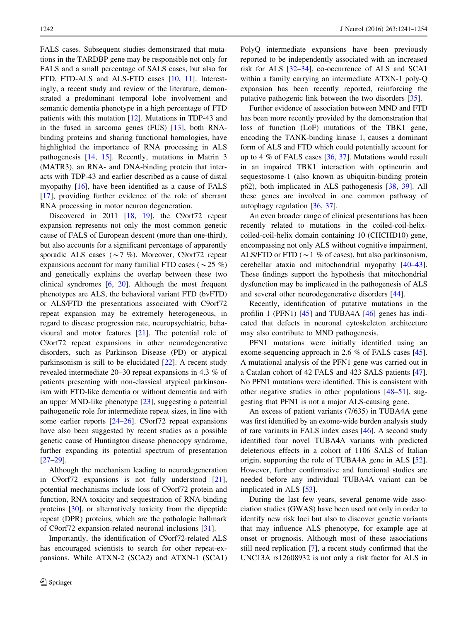FALS cases. Subsequent studies demonstrated that mutations in the TARDBP gene may be responsible not only for FALS and a small percentage of SALS cases, but also for FTD, FTD-ALS and ALS-FTD cases [[10,](#page-6-0) [11](#page-6-0)]. Interestingly, a recent study and review of the literature, demonstrated a predominant temporal lobe involvement and semantic dementia phenotype in a high percentage of FTD patients with this mutation [[12\]](#page-6-0). Mutations in TDP-43 and in the fused in sarcoma genes (FUS) [[13\]](#page-6-0), both RNAbinding proteins and sharing functional homologies, have highlighted the importance of RNA processing in ALS pathogenesis [\[14](#page-6-0), [15](#page-6-0)]. Recently, mutations in Matrin 3 (MATR3), an RNA- and DNA-binding protein that interacts with TDP-43 and earlier described as a cause of distal myopathy [\[16](#page-6-0)], have been identified as a cause of FALS [\[17](#page-7-0)], providing further evidence of the role of aberrant RNA processing in motor neuron degeneration.

Discovered in 2011 [\[18](#page-7-0), [19](#page-7-0)], the C9orf72 repeat expansion represents not only the most common genetic cause of FALS of European descent (more than one-third), but also accounts for a significant percentage of apparently sporadic ALS cases ( $\sim$ 7 %). Moreover, C9orf72 repeat expansions account for many familial FTD cases ( $\sim$  25 %) and genetically explains the overlap between these two clinical syndromes  $[6, 20]$  $[6, 20]$  $[6, 20]$  $[6, 20]$ . Although the most frequent phenotypes are ALS, the behavioral variant FTD (bvFTD) or ALS/FTD the presentations associated with C9orf72 repeat expansion may be extremely heterogeneous, in regard to disease progression rate, neuropsychiatric, behavioural and motor features [[21\]](#page-7-0). The potential role of C9orf72 repeat expansions in other neurodegenerative disorders, such as Parkinson Disease (PD) or atypical parkinsonism is still to be elucidated [\[22](#page-7-0)]. A recent study revealed intermediate 20–30 repeat expansions in 4.3 % of patients presenting with non-classical atypical parkinsonism with FTD-like dementia or without dementia and with an upper MND-like phenotype [[23\]](#page-7-0), suggesting a potential pathogenetic role for intermediate repeat sizes, in line with some earlier reports [[24–26](#page-7-0)]. C9orf72 repeat expansions have also been suggested by recent studies as a possible genetic cause of Huntington disease phenocopy syndrome, further expanding its potential spectrum of presentation [\[27–29](#page-7-0)].

Although the mechanism leading to neurodegeneration in C9orf72 expansions is not fully understood [\[21](#page-7-0)], potential mechanisms include loss of C9orf72 protein and function, RNA toxicity and sequestration of RNA-binding proteins [[30\]](#page-7-0), or alternatively toxicity from the dipeptide repeat (DPR) proteins, which are the pathologic hallmark of C9orf72 expansion-related neuronal inclusions [\[31](#page-7-0)].

Importantly, the identification of C9orf72-related ALS has encouraged scientists to search for other repeat-expansions. While ATXN-2 (SCA2) and ATXN-1 (SCA1) PolyQ intermediate expansions have been previously reported to be independently associated with an increased risk for ALS [\[32](#page-7-0)[–34](#page-8-0)], co-occurrence of ALS and SCA1 within a family carrying an intermediate ATXN-1 poly-Q expansion has been recently reported, reinforcing the putative pathogenic link between the two disorders [[35\]](#page-8-0).

Further evidence of association between MND and FTD has been more recently provided by the demonstration that loss of function (LoF) mutations of the TBK1 gene, encoding the TANK-binding kinase 1, causes a dominant form of ALS and FTD which could potentially account for up to 4  $\%$  of FALS cases [[36,](#page-8-0) [37](#page-8-0)]. Mutations would result in an impaired TBK1 interaction with optineurin and sequestosome-1 (also known as ubiquitin-binding protein p62), both implicated in ALS pathogenesis [[38,](#page-8-0) [39](#page-8-0)]. All these genes are involved in one common pathway of autophagy regulation [\[36](#page-8-0), [37](#page-8-0)].

An even broader range of clinical presentations has been recently related to mutations in the coiled-coil-helixcoiled-coil-helix domain containing 10 (CHCHD10) gene, encompassing not only ALS without cognitive impairment, ALS/FTD or FTD ( $\sim$  1 % of cases), but also parkinsonism, cerebellar ataxia and mitochondrial myopathy [\[40–43](#page-8-0)]. These findings support the hypothesis that mitochondrial dysfunction may be implicated in the pathogenesis of ALS and several other neurodegenerative disorders [\[44](#page-8-0)].

Recently, identification of putative mutations in the profilin 1 (PFN1) [\[45](#page-8-0)] and TUBA4A [\[46](#page-8-0)] genes has indicated that defects in neuronal cytoskeleton architecture may also contribute to MND pathogenesis.

PFN1 mutations were initially identified using an exome-sequencing approach in 2.6 % of FALS cases [\[45](#page-8-0)]. A mutational analysis of the PFN1 gene was carried out in a Catalan cohort of 42 FALS and 423 SALS patients [\[47](#page-8-0)]. No PFN1 mutations were identified. This is consistent with other negative studies in other populations [\[48](#page-8-0)[–51](#page-9-0)], suggesting that PFN1 is not a major ALS-causing gene.

An excess of patient variants (7/635) in TUBA4A gene was first identified by an exome-wide burden analysis study of rare variants in FALS index cases [[46](#page-8-0)]. A second study identified four novel TUBA4A variants with predicted deleterious effects in a cohort of 1106 SALS of Italian origin, supporting the role of TUBA4A gene in ALS [\[52](#page-9-0)]. However, further confirmative and functional studies are needed before any individual TUBA4A variant can be implicated in ALS [\[53](#page-9-0)].

During the last few years, several genome-wide association studies (GWAS) have been used not only in order to identify new risk loci but also to discover genetic variants that may influence ALS phenotype, for example age at onset or prognosis. Although most of these associations still need replication [[7\]](#page-6-0), a recent study confirmed that the UNC13A rs12608932 is not only a risk factor for ALS in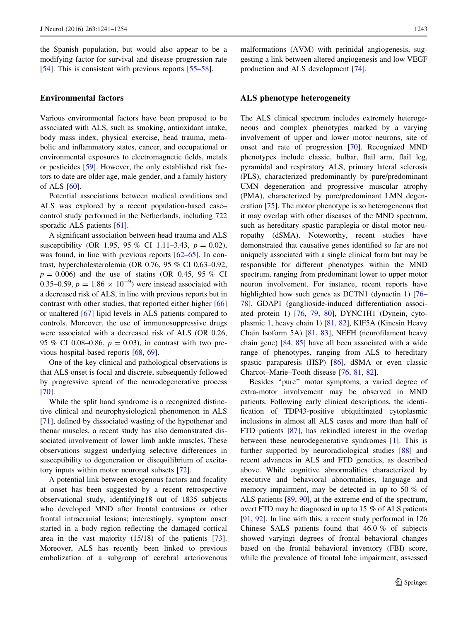the Spanish population, but would also appear to be a modifying factor for survival and disease progression rate [\[54](#page-9-0)]. This is consistent with previous reports [\[55–58](#page-9-0)].

## Environmental factors

Various environmental factors have been proposed to be associated with ALS, such as smoking, antioxidant intake, body mass index, physical exercise, head trauma, metabolic and inflammatory states, cancer, and occupational or environmental exposures to electromagnetic fields, metals or pesticides [[59\]](#page-9-0). However, the only established risk factors to date are older age, male gender, and a family history of ALS [\[60](#page-9-0)].

Potential associations between medical conditions and ALS was explored by a recent population-based case– control study performed in the Netherlands, including 722 sporadic ALS patients [\[61](#page-9-0)].

A significant association between head trauma and ALS susceptibility (OR 1.95, 95 % CI 1.11–3.43,  $p = 0.02$ ), was found, in line with previous reports  $[62-65]$ . In contrast, hypercholesterolemia (OR 0.76, 95 % CI 0.63–0.92,  $p = 0.006$ ) and the use of statins (OR 0.45, 95 % CI 0.35–0.59,  $p = 1.86 \times 10^{-9}$ ) were instead associated with a decreased risk of ALS, in line with previous reports but in contrast with other studies, that reported either higher [[66\]](#page-9-0) or unaltered [\[67](#page-9-0)] lipid levels in ALS patients compared to controls. Moreover, the use of immunosuppressive drugs were associated with a decreased risk of ALS (OR 0.26, 95 % CI 0.08–0.86,  $p = 0.03$ ), in contrast with two previous hospital-based reports [\[68](#page-9-0), [69](#page-9-0)].

One of the key clinical and pathological observations is that ALS onset is focal and discrete, subsequently followed by progressive spread of the neurodegenerative process [\[70](#page-9-0)].

While the split hand syndrome is a recognized distinctive clinical and neurophysiological phenomenon in ALS [\[71](#page-9-0)], defined by dissociated wasting of the hypothenar and thenar muscles, a recent study has also demonstrated dissociated involvement of lower limb ankle muscles. These observations suggest underlying selective differences in susceptibility to degeneration or disequilibrium of excitatory inputs within motor neuronal subsets [\[72](#page-9-0)].

A potential link between exogenous factors and focality at onset has been suggested by a recent retrospective observational study, identifying18 out of 1835 subjects who developed MND after frontal contusions or other frontal intracranial lesions; interestingly, symptom onset started in a body region reflecting the damaged cortical area in the vast majority (15/18) of the patients [\[73](#page-9-0)]. Moreover, ALS has recently been linked to previous embolization of a subgroup of cerebral arteriovenous malformations (AVM) with perinidal angiogenesis, suggesting a link between altered angiogenesis and low VEGF production and ALS development [\[74](#page-9-0)].

## ALS phenotype heterogeneity

The ALS clinical spectrum includes extremely heterogeneous and complex phenotypes marked by a varying involvement of upper and lower motor neurons, site of onset and rate of progression [[70\]](#page-9-0). Recognized MND phenotypes include classic, bulbar, flail arm, flail leg, pyramidal and respiratory ALS, primary lateral sclerosis (PLS), characterized predominantly by pure/predominant UMN degeneration and progressive muscular atrophy (PMA), characterized by pure/predominant LMN degeneration [\[75](#page-9-0)]. The motor phenotype is so heterogeneous that it may overlap with other diseases of the MND spectrum, such as hereditary spastic paraplegia or distal motor neuropathy (dSMA). Noteworthy, recent studies have demonstrated that causative genes identified so far are not uniquely associated with a single clinical form but may be responsible for different phenotypes within the MND spectrum, ranging from predominant lower to upper motor neuron involvement. For instance, recent reports have highlighted how such genes as DCTN1 (dynactin 1) [\[76](#page-9-0)– [78](#page-10-0)], GDAP1 (ganglioside-induced differentiation associated protein 1) [[76,](#page-9-0) [79](#page-10-0), [80](#page-10-0)], DYNC1H1 (Dynein, cytoplasmic 1, heavy chain 1) [\[81](#page-10-0), [82](#page-10-0)], KIF5A (Kinesin Heavy Chain Isoform 5A) [[81,](#page-10-0) [83](#page-10-0)], NEFH (neurofilament heavy chain gene) [\[84](#page-10-0), [85](#page-10-0)] have all been associated with a wide range of phenotypes, ranging from ALS to hereditary spastic paraparesis (HSP) [\[86](#page-10-0)], dSMA or even classic Charcot–Marie–Tooth disease [[76,](#page-9-0) [81](#page-10-0), [82](#page-10-0)].

Besides ''pure'' motor symptoms, a varied degree of extra-motor involvement may be observed in MND patients. Following early clinical descriptions, the identification of TDP43-positive ubiquitinated cytoplasmic inclusions in almost all ALS cases and more than half of FTD patients [[87\]](#page-10-0), has rekindled interest in the overlap between these neurodegenerative syndromes [[1\]](#page-6-0). This is further supported by neuroradiological studies [\[88](#page-10-0)] and recent advances in ALS and FTD genetics, as described above. While cognitive abnormalities characterized by executive and behavioral abnormalities, language and memory impairment, may be detected in up to 50 % of ALS patients [[89,](#page-10-0) [90](#page-10-0)], at the extreme end of the spectrum, overt FTD may be diagnosed in up to 15 % of ALS patients [\[91](#page-10-0), [92\]](#page-10-0). In line with this, a recent study performed in 126 Chinese SALS patients found that 46.0 % of subjects showed varyingi degrees of frontal behavioral changes based on the frontal behavioral inventory (FBI) score, while the prevalence of frontal lobe impairment, assessed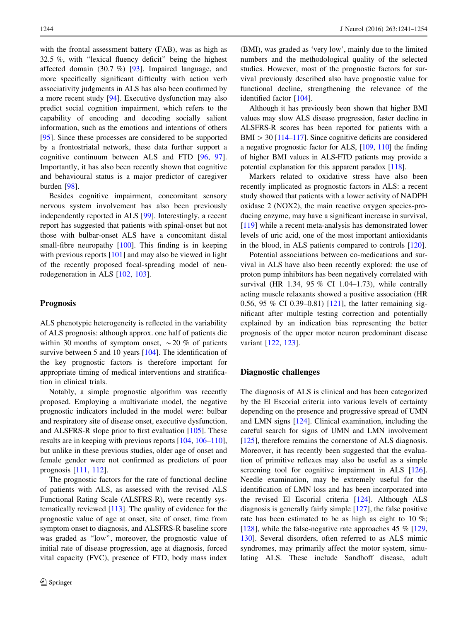with the frontal assessment battery (FAB), was as high as 32.5 %, with ''lexical fluency deficit'' being the highest affected domain (30.7 %) [\[93](#page-10-0)]. Impaired language, and more specifically significant difficulty with action verb associativity judgments in ALS has also been confirmed by a more recent study [\[94](#page-10-0)]. Executive dysfunction may also predict social cognition impairment, which refers to the capability of encoding and decoding socially salient information, such as the emotions and intentions of others [\[95](#page-10-0)]. Since these processes are considered to be supported by a frontostriatal network, these data further support a cognitive continuum between ALS and FTD [[96,](#page-10-0) [97](#page-10-0)]. Importantly, it has also been recently shown that cognitive and behavioural status is a major predictor of caregiver burden [\[98](#page-10-0)].

Besides cognitive impairment, concomitant sensory nervous system involvement has also been previously independently reported in ALS [[99\]](#page-10-0). Interestingly, a recent report has suggested that patients with spinal-onset but not those with bulbar-onset ALS have a concomitant distal small-fibre neuropathy [\[100](#page-10-0)]. This finding is in keeping with previous reports [[101\]](#page-10-0) and may also be viewed in light of the recently proposed focal-spreading model of neurodegeneration in ALS [[102,](#page-10-0) [103\]](#page-10-0).

## Prognosis

ALS phenotypic heterogeneity is reflected in the variability of ALS prognosis: although approx. one half of patients die within 30 months of symptom onset,  $\sim$  20 % of patients survive between 5 and 10 years [[104\]](#page-10-0). The identification of the key prognostic factors is therefore important for appropriate timing of medical interventions and stratification in clinical trials.

Notably, a simple prognostic algorithm was recently proposed. Employing a multivariate model, the negative prognostic indicators included in the model were: bulbar and respiratory site of disease onset, executive dysfunction, and ALSFRS-R slope prior to first evaluation [[105](#page-11-0)]. These results are in keeping with previous reports [[104,](#page-10-0) [106–110](#page-11-0)], but unlike in these previous studies, older age of onset and female gender were not confirmed as predictors of poor prognosis [\[111](#page-11-0), [112](#page-11-0)].

The prognostic factors for the rate of functional decline of patients with ALS, as assessed with the revised ALS Functional Rating Scale (ALSFRS-R), were recently systematically reviewed [\[113](#page-11-0)]. The quality of evidence for the prognostic value of age at onset, site of onset, time from symptom onset to diagnosis, and ALSFRS-R baseline score was graded as ''low'', moreover, the prognostic value of initial rate of disease progression, age at diagnosis, forced vital capacity (FVC), presence of FTD, body mass index (BMI), was graded as 'very low', mainly due to the limited numbers and the methodological quality of the selected studies. However, most of the prognostic factors for survival previously described also have prognostic value for functional decline, strengthening the relevance of the identified factor [\[104](#page-10-0)].

Although it has previously been shown that higher BMI values may slow ALS disease progression, faster decline in ALSFRS-R scores has been reported for patients with a  $BMI > 30$  [\[114–117\]](#page-11-0). Since cognitive deficits are considered a negative prognostic factor for ALS, [[109](#page-11-0), [110](#page-11-0)] the finding of higher BMI values in ALS-FTD patients may provide a potential explanation for this apparent paradox [\[118\]](#page-11-0).

Markers related to oxidative stress have also been recently implicated as prognostic factors in ALS: a recent study showed that patients with a lower activity of NADPH oxidase 2 (NOX2), the main reactive oxygen species-producing enzyme, may have a significant increase in survival, [\[119](#page-11-0)] while a recent meta-analysis has demonstrated lower levels of uric acid, one of the most important antioxidants in the blood, in ALS patients compared to controls [\[120\]](#page-11-0).

Potential associations between co-medications and survival in ALS have also been recently explored: the use of proton pump inhibitors has been negatively correlated with survival (HR 1.34, 95 % CI 1.04–1.73), while centrally acting muscle relaxants showed a positive association (HR 0.56, 95 % CI 0.39–0.81) [[121\]](#page-11-0), the latter remaining significant after multiple testing correction and potentially explained by an indication bias representing the better prognosis of the upper motor neuron predominant disease variant [[122,](#page-11-0) [123](#page-11-0)].

## Diagnostic challenges

The diagnosis of ALS is clinical and has been categorized by the El Escorial criteria into various levels of certainty depending on the presence and progressive spread of UMN and LMN signs [\[124](#page-11-0)]. Clinical examination, including the careful search for signs of UMN and LMN involvement [\[125](#page-11-0)], therefore remains the cornerstone of ALS diagnosis. Moreover, it has recently been suggested that the evaluation of primitive reflexes may also be useful as a simple screening tool for cognitive impairment in ALS [\[126](#page-11-0)]. Needle examination, may be extremely useful for the identification of LMN loss and has been incorporated into the revised El Escorial criteria [[124\]](#page-11-0). Although ALS diagnosis is generally fairly simple [[127\]](#page-11-0), the false positive rate has been estimated to be as high as eight to 10 %; [\[128](#page-11-0)], while the false-negative rate approaches 45  $\%$  [[129,](#page-11-0) [130](#page-11-0)]. Several disorders, often referred to as ALS mimic syndromes, may primarily affect the motor system, simulating ALS. These include Sandhoff disease, adult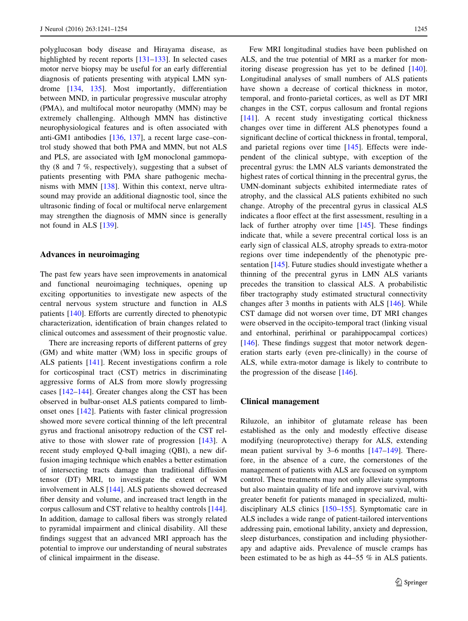polyglucosan body disease and Hirayama disease, as highlighted by recent reports [\[131–133](#page-11-0)]. In selected cases motor nerve biopsy may be useful for an early differential diagnosis of patients presenting with atypical LMN syndrome [[134,](#page-11-0) [135\]](#page-11-0). Most importantly, differentiation between MND, in particular progressive muscular atrophy (PMA), and multifocal motor neuropathy (MMN) may be extremely challenging. Although MMN has distinctive neurophysiological features and is often associated with anti-GM1 antibodies [[136,](#page-12-0) [137\]](#page-12-0), a recent large case–control study showed that both PMA and MMN, but not ALS and PLS, are associated with IgM monoclonal gammopathy (8 and 7 %, respectively), suggesting that a subset of patients presenting with PMA share pathogenic mechanisms with MMN [\[138](#page-12-0)]. Within this context, nerve ultrasound may provide an additional diagnostic tool, since the ultrasonic finding of focal or multifocal nerve enlargement may strengthen the diagnosis of MMN since is generally not found in ALS [\[139](#page-12-0)].

### Advances in neuroimaging

The past few years have seen improvements in anatomical and functional neuroimaging techniques, opening up exciting opportunities to investigate new aspects of the central nervous system structure and function in ALS patients [[140\]](#page-12-0). Efforts are currently directed to phenotypic characterization, identification of brain changes related to clinical outcomes and assessment of their prognostic value.

There are increasing reports of different patterns of grey (GM) and white matter (WM) loss in specific groups of ALS patients [[141\]](#page-12-0). Recent investigations confirm a role for corticospinal tract (CST) metrics in discriminating aggressive forms of ALS from more slowly progressing cases [[142–144\]](#page-12-0). Greater changes along the CST has been observed in bulbar-onset ALS patients compared to limbonset ones [\[142](#page-12-0)]. Patients with faster clinical progression showed more severe cortical thinning of the left precentral gyrus and fractional anisotropy reduction of the CST relative to those with slower rate of progression [\[143](#page-12-0)]. A recent study employed Q-ball imaging (QBI), a new diffusion imaging technique which enables a better estimation of intersecting tracts damage than traditional diffusion tensor (DT) MRI, to investigate the extent of WM involvement in ALS [[144](#page-12-0)]. ALS patients showed decreased fiber density and volume, and increased tract length in the corpus callosum and CST relative to healthy controls [\[144](#page-12-0)]. In addition, damage to callosal fibers was strongly related to pyramidal impairment and clinical disability. All these findings suggest that an advanced MRI approach has the potential to improve our understanding of neural substrates of clinical impairment in the disease.

Few MRI longitudinal studies have been published on ALS, and the true potential of MRI as a marker for monitoring disease progression has yet to be defined [\[140](#page-12-0)]. Longitudinal analyses of small numbers of ALS patients have shown a decrease of cortical thickness in motor, temporal, and fronto-parietal cortices, as well as DT MRI changes in the CST, corpus callosum and frontal regions [\[141](#page-12-0)]. A recent study investigating cortical thickness changes over time in different ALS phenotypes found a significant decline of cortical thickness in frontal, temporal, and parietal regions over time [[145\]](#page-12-0). Effects were independent of the clinical subtype, with exception of the precentral gyrus: the LMN ALS variants demonstrated the highest rates of cortical thinning in the precentral gyrus, the UMN-dominant subjects exhibited intermediate rates of atrophy, and the classical ALS patients exhibited no such change. Atrophy of the precentral gyrus in classical ALS indicates a floor effect at the first assessment, resulting in a lack of further atrophy over time [[145\]](#page-12-0). These findings indicate that, while a severe precentral cortical loss is an early sign of classical ALS, atrophy spreads to extra-motor regions over time independently of the phenotypic presentation [\[145](#page-12-0)]. Future studies should investigate whether a thinning of the precentral gyrus in LMN ALS variants precedes the transition to classical ALS. A probabilistic fiber tractography study estimated structural connectivity changes after 3 months in patients with ALS [[146\]](#page-12-0). While CST damage did not worsen over time, DT MRI changes were observed in the occipito-temporal tract (linking visual and entorhinal, perirhinal or parahippocampal cortices) [\[146](#page-12-0)]. These findings suggest that motor network degeneration starts early (even pre-clinically) in the course of ALS, while extra-motor damage is likely to contribute to the progression of the disease [\[146](#page-12-0)].

#### Clinical management

Riluzole, an inhibitor of glutamate release has been established as the only and modestly effective disease modifying (neuroprotective) therapy for ALS, extending mean patient survival by 3–6 months [\[147–149](#page-12-0)]. Therefore, in the absence of a cure, the cornerstones of the management of patients with ALS are focused on symptom control. These treatments may not only alleviate symptoms but also maintain quality of life and improve survival, with greater benefit for patients managed in specialized, multidisciplinary ALS clinics [[150–155\]](#page-12-0). Symptomatic care in ALS includes a wide range of patient-tailored interventions addressing pain, emotional lability, anxiety and depression, sleep disturbances, constipation and including physiotherapy and adaptive aids. Prevalence of muscle cramps has been estimated to be as high as 44–55 % in ALS patients.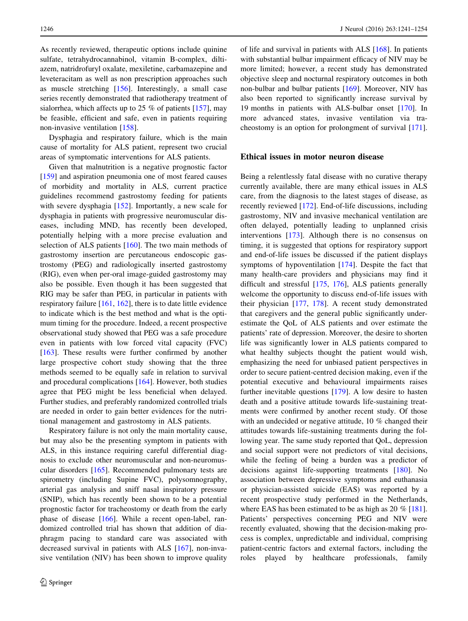As recently reviewed, therapeutic options include quinine sulfate, tetrahydrocannabinol, vitamin B-complex, diltiazem, natridrofuryl oxalate, mexiletine, carbamazepine and leveteracitam as well as non prescription approaches such as muscle stretching [\[156](#page-12-0)]. Interestingly, a small case series recently demonstrated that radiotherapy treatment of sialorrhea, which affects up to 25 % of patients [\[157](#page-12-0)], may be feasible, efficient and safe, even in patients requiring non-invasive ventilation [[158\]](#page-12-0).

Dysphagia and respiratory failure, which is the main cause of mortality for ALS patient, represent two crucial areas of symptomatic interventions for ALS patients.

Given that malnutrition is a negative prognostic factor [\[159](#page-12-0)] and aspiration pneumonia one of most feared causes of morbidity and mortality in ALS, current practice guidelines recommend gastrostomy feeding for patients with severe dysphagia [[152\]](#page-12-0). Importantly, a new scale for dysphagia in patients with progressive neuromuscular diseases, including MND, has recently been developed, potentially helping with a more precise evaluation and selection of ALS patients [\[160](#page-12-0)]. The two main methods of gastrostomy insertion are percutaneous endoscopic gastrostomy (PEG) and radiologically inserted gastrostomy (RIG), even when per-oral image-guided gastrostomy may also be possible. Even though it has been suggested that RIG may be safer than PEG, in particular in patients with respiratory failure  $[161, 162]$  $[161, 162]$  $[161, 162]$  $[161, 162]$ , there is to date little evidence to indicate which is the best method and what is the optimum timing for the procedure. Indeed, a recent prospective observational study showed that PEG was a safe procedure even in patients with low forced vital capacity (FVC) [\[163](#page-13-0)]. These results were further confirmed by another large prospective cohort study showing that the three methods seemed to be equally safe in relation to survival and procedural complications [[164\]](#page-13-0). However, both studies agree that PEG might be less beneficial when delayed. Further studies, and preferably randomized controlled trials are needed in order to gain better evidences for the nutritional management and gastrostomy in ALS patients.

Respiratory failure is not only the main mortality cause, but may also be the presenting symptom in patients with ALS, in this instance requiring careful differential diagnosis to exclude other neuromuscular and non-neuromuscular disorders [[165\]](#page-13-0). Recommended pulmonary tests are spirometry (including Supine FVC), polysomnography, arterial gas analysis and sniff nasal inspiratory pressure (SNIP), which has recently been shown to be a potential prognostic factor for tracheostomy or death from the early phase of disease [\[166](#page-13-0)]. While a recent open-label, randomized controlled trial has shown that addition of diaphragm pacing to standard care was associated with decreased survival in patients with ALS [\[167](#page-13-0)], non-invasive ventilation (NIV) has been shown to improve quality of life and survival in patients with ALS [[168\]](#page-13-0). In patients with substantial bulbar impairment efficacy of NIV may be more limited; however, a recent study has demonstrated objective sleep and nocturnal respiratory outcomes in both non-bulbar and bulbar patients [\[169](#page-13-0)]. Moreover, NIV has also been reported to significantly increase survival by 19 months in patients with ALS-bulbar onset [[170\]](#page-13-0). In more advanced states, invasive ventilation via tracheostomy is an option for prolongment of survival [\[171](#page-13-0)].

### Ethical issues in motor neuron disease

Being a relentlessly fatal disease with no curative therapy currently available, there are many ethical issues in ALS care, from the diagnosis to the latest stages of disease, as recently reviewed [\[172](#page-13-0)]. End-of-life discussions, including gastrostomy, NIV and invasive mechanical ventilation are often delayed, potentially leading to unplanned crisis interventions [\[173\]](#page-13-0). Although there is no consensus on timing, it is suggested that options for respiratory support and end-of-life issues be discussed if the patient displays symptoms of hypoventilation [\[174](#page-13-0)]. Despite the fact that many health-care providers and physicians may find it difficult and stressful [[175,](#page-13-0) [176](#page-13-0)], ALS patients generally welcome the opportunity to discuss end-of-life issues with their physician [[177,](#page-13-0) [178\]](#page-13-0). A recent study demonstrated that caregivers and the general public significantly underestimate the QoL of ALS patients and over estimate the patients' rate of depression. Moreover, the desire to shorten life was significantly lower in ALS patients compared to what healthy subjects thought the patient would wish, emphasizing the need for unbiased patient perspectives in order to secure patient-centred decision making, even if the potential executive and behavioural impairments raises further inevitable questions [\[179](#page-13-0)]. A low desire to hasten death and a positive attitude towards life-sustaining treatments were confirmed by another recent study. Of those with an undecided or negative attitude, 10 % changed their attitudes towards life-sustaining treatments during the following year. The same study reported that QoL, depression and social support were not predictors of vital decisions, while the feeling of being a burden was a predictor of decisions against life-supporting treatments [\[180](#page-13-0)]. No association between depressive symptoms and euthanasia or physician-assisted suicide (EAS) was reported by a recent prospective study performed in the Netherlands, where EAS has been estimated to be as high as 20 % [\[181](#page-13-0)]. Patients' perspectives concerning PEG and NIV were recently evaluated, showing that the decision-making process is complex, unpredictable and individual, comprising patient-centric factors and external factors, including the roles played by healthcare professionals, family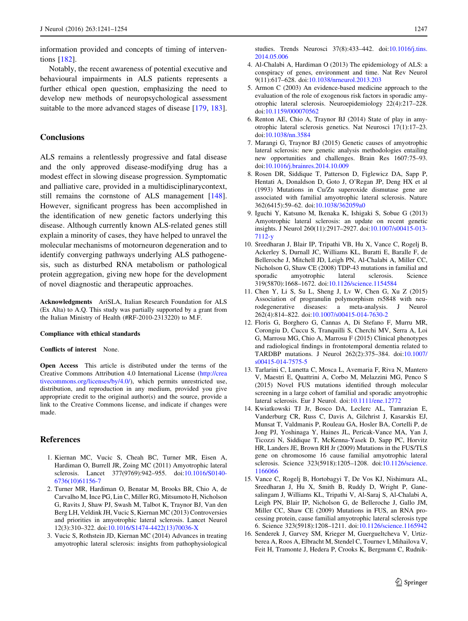<span id="page-6-0"></span>information provided and concepts of timing of interventions [\[182](#page-13-0)].

Notably, the recent awareness of potential executive and behavioural impairments in ALS patients represents a further ethical open question, emphasizing the need to develop new methods of neuropsychological assessment suitable to the more advanced stages of disease [\[179](#page-13-0), [183](#page-13-0)].

## **Conclusions**

ALS remains a relentlessly progressive and fatal disease and the only approved disease-modifying drug has a modest effect in slowing disease progression. Symptomatic and palliative care, provided in a multidisciplinarycontext, still remains the cornstone of ALS management [\[148](#page-12-0)]. However, significant progress has been accomplished in the identification of new genetic factors underlying this disease. Although currently known ALS-related genes still explain a minority of cases, they have helped to unravel the molecular mechanisms of motorneuron degeneration and to identify converging pathways underlying ALS pathogenesis, such as disturbed RNA metabolism or pathological protein aggregation, giving new hope for the development of novel diagnostic and therapeutic approaches.

Acknowledgments AriSLA, Italian Research Foundation for ALS (Ex Alta) to A.Q. This study was partially supported by a grant from the Italian Ministry of Health (#RF-2010-2313220) to M.F.

#### Compliance with ethical standards

#### Conflicts of interest None.

Open Access This article is distributed under the terms of the Creative Commons Attribution 4.0 International License ([http://crea](http://creativecommons.org/licenses/by/4.0/) [tivecommons.org/licenses/by/4.0/\)](http://creativecommons.org/licenses/by/4.0/), which permits unrestricted use, distribution, and reproduction in any medium, provided you give appropriate credit to the original author(s) and the source, provide a link to the Creative Commons license, and indicate if changes were made.

### **References**

- 1. Kiernan MC, Vucic S, Cheah BC, Turner MR, Eisen A, Hardiman O, Burrell JR, Zoing MC (2011) Amyotrophic lateral sclerosis. Lancet 377(9769):942–955. doi:[10.1016/S0140-](http://dx.doi.org/10.1016/S0140-6736(10)61156-7) [6736\(10\)61156-7](http://dx.doi.org/10.1016/S0140-6736(10)61156-7)
- 2. Turner MR, Hardiman O, Benatar M, Brooks BR, Chio A, de Carvalho M, Ince PG, Lin C, Miller RG, Mitsumoto H, Nicholson G, Ravits J, Shaw PJ, Swash M, Talbot K, Traynor BJ, Van den Berg LH, Veldink JH, Vucic S, Kiernan MC (2013) Controversies and priorities in amyotrophic lateral sclerosis. Lancet Neurol 12(3):310–322. doi[:10.1016/S1474-4422\(13\)70036-X](http://dx.doi.org/10.1016/S1474-4422(13)70036-X)
- 3. Vucic S, Rothstein JD, Kiernan MC (2014) Advances in treating amyotrophic lateral sclerosis: insights from pathophysiological

studies. Trends Neurosci 37(8):433–442. doi[:10.1016/j.tins.](http://dx.doi.org/10.1016/j.tins.2014.05.006) [2014.05.006](http://dx.doi.org/10.1016/j.tins.2014.05.006)

- 4. Al-Chalabi A, Hardiman O (2013) The epidemiology of ALS: a conspiracy of genes, environment and time. Nat Rev Neurol 9(11):617–628. doi[:10.1038/nrneurol.2013.203](http://dx.doi.org/10.1038/nrneurol.2013.203)
- 5. Armon C (2003) An evidence-based medicine approach to the evaluation of the role of exogenous risk factors in sporadic amyotrophic lateral sclerosis. Neuroepidemiology 22(4):217–228. doi:[10.1159/000070562](http://dx.doi.org/10.1159/000070562)
- 6. Renton AE, Chio A, Traynor BJ (2014) State of play in amyotrophic lateral sclerosis genetics. Nat Neurosci 17(1):17–23. doi:[10.1038/nn.3584](http://dx.doi.org/10.1038/nn.3584)
- 7. Marangi G, Traynor BJ (2015) Genetic causes of amyotrophic lateral sclerosis: new genetic analysis methodologies entailing new opportunities and challenges. Brain Res 1607:75–93. doi:[10.1016/j.brainres.2014.10.009](http://dx.doi.org/10.1016/j.brainres.2014.10.009)
- 8. Rosen DR, Siddique T, Patterson D, Figlewicz DA, Sapp P, Hentati A, Donaldson D, Goto J, O'Regan JP, Deng HX et al (1993) Mutations in Cu/Zn superoxide dismutase gene are associated with familial amyotrophic lateral sclerosis. Nature 362(6415):59–62. doi:[10.1038/362059a0](http://dx.doi.org/10.1038/362059a0)
- 9. Iguchi Y, Katsuno M, Ikenaka K, Ishigaki S, Sobue G (2013) Amyotrophic lateral sclerosis: an update on recent genetic insights. J Neurol 260(11):2917–2927. doi:[10.1007/s00415-013-](http://dx.doi.org/10.1007/s00415-013-7112-y) [7112-y](http://dx.doi.org/10.1007/s00415-013-7112-y)
- 10. Sreedharan J, Blair IP, Tripathi VB, Hu X, Vance C, Rogelj B, Ackerley S, Durnall JC, Williams KL, Buratti E, Baralle F, de Belleroche J, Mitchell JD, Leigh PN, Al-Chalabi A, Miller CC, Nicholson G, Shaw CE (2008) TDP-43 mutations in familial and sporadic amyotrophic lateral sclerosis. Science 319(5870):1668–1672. doi:[10.1126/science.1154584](http://dx.doi.org/10.1126/science.1154584)
- 11. Chen Y, Li S, Su L, Sheng J, Lv W, Chen G, Xu Z (2015) Association of progranulin polymorphism rs5848 with neurodegenerative diseases: a meta-analysis. J Neurol 262(4):814–822. doi[:10.1007/s00415-014-7630-2](http://dx.doi.org/10.1007/s00415-014-7630-2)
- 12. Floris G, Borghero G, Cannas A, Di Stefano F, Murru MR, Corongiu D, Cuccu S, Tranquilli S, Cherchi MV, Serra A, Loi G, Marrosu MG, Chio A, Marrosu F (2015) Clinical phenotypes and radiological findings in frontotemporal dementia related to TARDBP mutations. J Neurol 262(2):375–384. doi[:10.1007/](http://dx.doi.org/10.1007/s00415-014-7575-5) [s00415-014-7575-5](http://dx.doi.org/10.1007/s00415-014-7575-5)
- 13. Tarlarini C, Lunetta C, Mosca L, Avemaria F, Riva N, Mantero V, Maestri E, Quattrini A, Corbo M, Melazzini MG, Penco S (2015) Novel FUS mutations identified through molecular screening in a large cohort of familial and sporadic amyotrophic lateral sclerosis. Eur J Neurol. doi:[10.1111/ene.12772](http://dx.doi.org/10.1111/ene.12772)
- 14. Kwiatkowski TJ Jr, Bosco DA, Leclerc AL, Tamrazian E, Vanderburg CR, Russ C, Davis A, Gilchrist J, Kasarskis EJ, Munsat T, Valdmanis P, Rouleau GA, Hosler BA, Cortelli P, de Jong PJ, Yoshinaga Y, Haines JL, Pericak-Vance MA, Yan J, Ticozzi N, Siddique T, McKenna-Yasek D, Sapp PC, Horvitz HR, Landers JE, Brown RH Jr (2009) Mutations in the FUS/TLS gene on chromosome 16 cause familial amyotrophic lateral sclerosis. Science 323(5918):1205–1208. doi[:10.1126/science.](http://dx.doi.org/10.1126/science.1166066) [1166066](http://dx.doi.org/10.1126/science.1166066)
- 15. Vance C, Rogelj B, Hortobagyi T, De Vos KJ, Nishimura AL, Sreedharan J, Hu X, Smith B, Ruddy D, Wright P, Ganesalingam J, Williams KL, Tripathi V, Al-Saraj S, Al-Chalabi A, Leigh PN, Blair IP, Nicholson G, de Belleroche J, Gallo JM, Miller CC, Shaw CE (2009) Mutations in FUS, an RNA processing protein, cause familial amyotrophic lateral sclerosis type 6. Science 323(5918):1208–1211. doi:[10.1126/science.1165942](http://dx.doi.org/10.1126/science.1165942)
- 16. Senderek J, Garvey SM, Krieger M, Guergueltcheva V, Urtizberea A, Roos A, Elbracht M, Stendel C, Tournev I, Mihailova V, Feit H, Tramonte J, Hedera P, Crooks K, Bergmann C, Rudnik-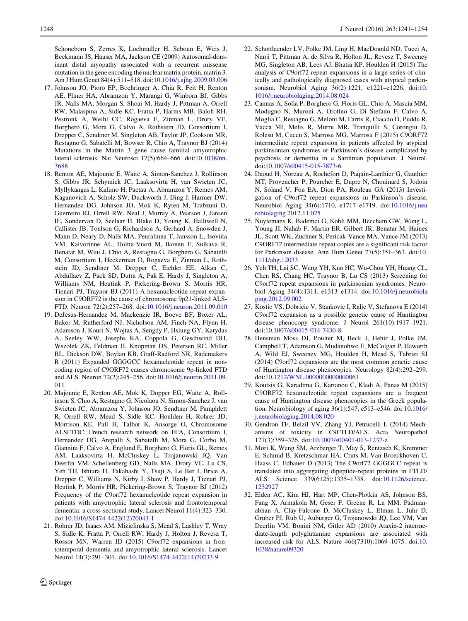<span id="page-7-0"></span>Schoneborn S, Zerres K, Lochmuller H, Seboun E, Weis J, Beckmann JS, Hauser MA, Jackson CE (2009) Autosomal-dominant distal myopathy associated with a recurrent missense mutation in the gene encoding the nuclear matrix protein, matrin 3. Am J Hum Genet 84(4):511–518. doi:[10.1016/j.ajhg.2009.03.006](http://dx.doi.org/10.1016/j.ajhg.2009.03.006)

- 17. Johnson JO, Pioro EP, Boehringer A, Chia R, Feit H, Renton AE, Pliner HA, Abramzon Y, Marangi G, Winborn BJ, Gibbs JR, Nalls MA, Morgan S, Shoai M, Hardy J, Pittman A, Orrell RW, Malaspina A, Sidle KC, Fratta P, Harms MB, Baloh RH, Pestronk A, Weihl CC, Rogaeva E, Zinman L, Drory VE, Borghero G, Mora G, Calvo A, Rothstein JD, Consortium I, Drepper C, Sendtner M, Singleton AB, Taylor JP, Cookson MR, Restagno G, Sabatelli M, Bowser R, Chio A, Traynor BJ (2014) Mutations in the Matrin 3 gene cause familial amyotrophic lateral sclerosis. Nat Neurosci 17(5):664–666. doi:[10.1038/nn.](http://dx.doi.org/10.1038/nn.3688) [3688](http://dx.doi.org/10.1038/nn.3688)
- 18. Renton AE, Majounie E, Waite A, Simon-Sanchez J, Rollinson S, Gibbs JR, Schymick JC, Laaksovirta H, van Swieten JC, Myllykangas L, Kalimo H, Paetau A, Abramzon Y, Remes AM, Kaganovich A, Scholz SW, Duckworth J, Ding J, Harmer DW, Hernandez DG, Johnson JO, Mok K, Ryten M, Trabzuni D, Guerreiro RJ, Orrell RW, Neal J, Murray A, Pearson J, Jansen IE, Sondervan D, Seelaar H, Blake D, Young K, Halliwell N, Callister JB, Toulson G, Richardson A, Gerhard A, Snowden J, Mann D, Neary D, Nalls MA, Peuralinna T, Jansson L, Isoviita VM, Kaivorinne AL, Holtta-Vuori M, Ikonen E, Sulkava R, Benatar M, Wuu J, Chio A, Restagno G, Borghero G, Sabatelli M, Consortium I, Heckerman D, Rogaeva E, Zinman L, Rothstein JD, Sendtner M, Drepper C, Eichler EE, Alkan C, Abdullaev Z, Pack SD, Dutra A, Pak E, Hardy J, Singleton A, Williams NM, Heutink P, Pickering-Brown S, Morris HR, Tienari PJ, Traynor BJ (2011) A hexanucleotide repeat expansion in C9ORF72 is the cause of chromosome 9p21-linked ALS-FTD. Neuron 72(2):257–268. doi:[10.1016/j.neuron.2011.09.010](http://dx.doi.org/10.1016/j.neuron.2011.09.010)
- 19. DeJesus-Hernandez M, Mackenzie IR, Boeve BF, Boxer AL, Baker M, Rutherford NJ, Nicholson AM, Finch NA, Flynn H, Adamson J, Kouri N, Wojtas A, Sengdy P, Hsiung GY, Karydas A, Seeley WW, Josephs KA, Coppola G, Geschwind DH, Wszolek ZK, Feldman H, Knopman DS, Petersen RC, Miller BL, Dickson DW, Boylan KB, Graff-Radford NR, Rademakers R (2011) Expanded GGGGCC hexanucleotide repeat in noncoding region of C9ORF72 causes chromosome 9p-linked FTD and ALS. Neuron 72(2):245–256. doi[:10.1016/j.neuron.2011.09.](http://dx.doi.org/10.1016/j.neuron.2011.09.011) [011](http://dx.doi.org/10.1016/j.neuron.2011.09.011)
- 20. Majounie E, Renton AE, Mok K, Dopper EG, Waite A, Rollinson S, Chio A, Restagno G, Nicolaou N, Simon-Sanchez J, van Swieten JC, Abramzon Y, Johnson JO, Sendtner M, Pamphlett R, Orrell RW, Mead S, Sidle KC, Houlden H, Rohrer JD, Morrison KE, Pall H, Talbot K, Ansorge O, Chromosome ALSFTDC, French research network on FFA, Consortium I, Hernandez DG, Arepalli S, Sabatelli M, Mora G, Corbo M, Giannini F, Calvo A, Englund E, Borghero G, Floris GL, Remes AM, Laaksovirta H, McCluskey L, Trojanowski JQ, Van Deerlin VM, Schellenberg GD, Nalls MA, Drory VE, Lu CS, Yeh TH, Ishiura H, Takahashi Y, Tsuji S, Le Ber I, Brice A, Drepper C, Williams N, Kirby J, Shaw P, Hardy J, Tienari PJ, Heutink P, Morris HR, Pickering-Brown S, Traynor BJ (2012) Frequency of the C9orf72 hexanucleotide repeat expansion in patients with amyotrophic lateral sclerosis and frontotemporal dementia: a cross-sectional study. Lancet Neurol 11(4):323–330. doi:[10.1016/S1474-4422\(12\)70043-1](http://dx.doi.org/10.1016/S1474-4422(12)70043-1)
- 21. Rohrer JD, Isaacs AM, Mizielinska S, Mead S, Lashley T, Wray S, Sidle K, Fratta P, Orrell RW, Hardy J, Holton J, Revesz T, Rossor MN, Warren JD (2015) C9orf72 expansions in frontotemporal dementia and amyotrophic lateral sclerosis. Lancet Neurol 14(3):291–301. doi[:10.1016/S1474-4422\(14\)70233-9](http://dx.doi.org/10.1016/S1474-4422(14)70233-9)
- 22. Schottlaender LV, Polke JM, Ling H, MacDoanld ND, Tucci A, Nanji T, Pittman A, de Silva R, Holton JL, Revesz T, Sweeney MG, Singleton AB, Lees AJ, Bhatia KP, Houlden H (2015) The analysis of C9orf72 repeat expansions in a large series of clinically and pathologically diagnosed cases with atypical parkinsonism. Neurobiol Aging 36(2):1221, e1221–e1226. doi:[10.](http://dx.doi.org/10.1016/j.neurobiolaging.2014.08.024) [1016/j.neurobiolaging.2014.08.024](http://dx.doi.org/10.1016/j.neurobiolaging.2014.08.024)
- 23. Cannas A, Solla P, Borghero G, Floris GL, Chio A, Mascia MM, Modugno N, Muroni A, Orofino G, Di Stefano F, Calvo A, Moglia C, Restagno G, Meloni M, Farris R, Ciaccio D, Puddu R, Vacca MI, Melis R, Murru MR, Tranquilli S, Corongiu D, Rolesu M, Cuccu S, Marrosu MG, Marrosu F (2015) C9ORF72 intermediate repeat expansion in patients affected by atypical parkinsonian syndromes or Parkinson's disease complicated by psychosis or dementia in a Sardinian population. J Neurol. doi:[10.1007/s00415-015-7873-6](http://dx.doi.org/10.1007/s00415-015-7873-6)
- 24. Daoud H, Noreau A, Rochefort D, Paquin-Lanthier G, Gauthier MT, Provencher P, Pourcher E, Dupre N, Chouinard S, Jodoin N, Soland V, Fon EA, Dion PA, Rouleau GA (2013) Investigation of C9orf72 repeat expansions in Parkinson's disease. Neurobiol Aging 34(6):1710, e1717–e1719. doi:[10.1016/j.neu](http://dx.doi.org/10.1016/j.neurobiolaging.2012.11.025) [robiolaging.2012.11.025](http://dx.doi.org/10.1016/j.neurobiolaging.2012.11.025)
- 25. Nuytemans K, Bademci G, Kohli MM, Beecham GW, Wang L, Young JI, Nahab F, Martin ER, Gilbert JR, Benatar M, Haines JL, Scott WK, Zuchner S, Pericak-Vance MA, Vance JM (2013) C9ORF72 intermediate repeat copies are a significant risk factor for Parkinson disease. Ann Hum Genet 77(5):351–363. doi:[10.](http://dx.doi.org/10.1111/ahg.12033) [1111/ahg.12033](http://dx.doi.org/10.1111/ahg.12033)
- 26. Yeh TH, Lai SC, Weng YH, Kuo HC, Wu-Chou YH, Huang CL, Chen RS, Chang HC, Traynor B, Lu CS (2013) Screening for C9orf72 repeat expansions in parkinsonian syndromes. Neurobiol Aging 34(4):1311, e1313–e1314. doi[:10.1016/j.neurobiola](http://dx.doi.org/10.1016/j.neurobiolaging.2012.09.002) [ging.2012.09.002](http://dx.doi.org/10.1016/j.neurobiolaging.2012.09.002)
- 27. Kostic VS, Dobricic V, Stankovic I, Ralic V, Stefanova E (2014) C9orf72 expansion as a possible genetic cause of Huntington disease phenocopy syndrome. J Neurol 261(10):1917–1921. doi:[10.1007/s00415-014-7430-8](http://dx.doi.org/10.1007/s00415-014-7430-8)
- 28. Hensman Moss DJ, Poulter M, Beck J, Hehir J, Polke JM, Campbell T, Adamson G, Mudanohwo E, McColgan P, Haworth A, Wild EJ, Sweeney MG, Houlden H, Mead S, Tabrizi SJ (2014) C9orf72 expansions are the most common genetic cause of Huntington disease phenocopies. Neurology 82(4):292–299. doi:[10.1212/WNL.0000000000000061](http://dx.doi.org/10.1212/WNL.0000000000000061)
- 29. Koutsis G, Karadima G, Kartanou C, Kladi A, Panas M (2015) C9ORF72 hexanucleotide repeat expansions are a frequent cause of Huntington disease phenocopies in the Greek population. Neurobiology of aging 36(1):547, e513–e546. doi[:10.1016/](http://dx.doi.org/10.1016/j.neurobiolaging.2014.08.020) [j.neurobiolaging.2014.08.020](http://dx.doi.org/10.1016/j.neurobiolaging.2014.08.020)
- 30. Gendron TF, Belzil VV, Zhang YJ, Petrucelli L (2014) Mechanisms of toxicity in C9FTLD/ALS. Acta Neuropathol 127(3):359–376. doi[:10.1007/s00401-013-1237-z](http://dx.doi.org/10.1007/s00401-013-1237-z)
- 31. Mori K, Weng SM, Arzberger T, May S, Rentzsch K, Kremmer E, Schmid B, Kretzschmar HA, Cruts M, Van Broeckhoven C, Haass C, Edbauer D (2013) The C9orf72 GGGGCC repeat is translated into aggregating dipeptide-repeat proteins in FTLD/ ALS. Science 339(6125):1335–1338. doi[:10.1126/science.](http://dx.doi.org/10.1126/science.1232927) [1232927](http://dx.doi.org/10.1126/science.1232927)
- 32. Elden AC, Kim HJ, Hart MP, Chen-Plotkin AS, Johnson BS, Fang X, Armakola M, Geser F, Greene R, Lu MM, Padmanabhan A, Clay-Falcone D, McCluskey L, Elman L, Juhr D, Gruber PJ, Rub U, Auburger G, Trojanowski JQ, Lee VM, Van Deerlin VM, Bonini NM, Gitler AD (2010) Ataxin-2 intermediate-length polyglutamine expansions are associated with increased risk for ALS. Nature 466(7310):1069–1075. doi:[10.](http://dx.doi.org/10.1038/nature09320) [1038/nature09320](http://dx.doi.org/10.1038/nature09320)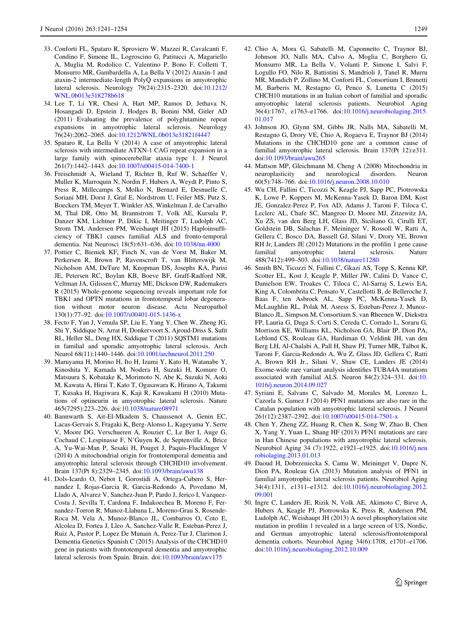- <span id="page-8-0"></span>33. Conforti FL, Spataro R, Sproviero W, Mazzei R, Cavalcanti F, Condino F, Simone IL, Logroscino G, Patitucci A, Magariello A, Muglia M, Rodolico C, Valentino P, Bono F, Colletti T, Monsurro MR, Gambardella A, La Bella V (2012) Ataxin-1 and ataxin-2 intermediate-length PolyQ expansions in amyotrophic lateral sclerosis. Neurology 79(24):2315–2320. doi[:10.1212/](http://dx.doi.org/10.1212/WNL.0b013e318278b618) [WNL.0b013e318278b618](http://dx.doi.org/10.1212/WNL.0b013e318278b618)
- 34. Lee T, Li YR, Chesi A, Hart MP, Ramos D, Jethava N, Hosangadi D, Epstein J, Hodges B, Bonini NM, Gitler AD (2011) Evaluating the prevalence of polyglutamine repeat expansions in amyotrophic lateral sclerosis. Neurology 76(24):2062–2065. doi:[10.1212/WNL.0b013e31821f4447](http://dx.doi.org/10.1212/WNL.0b013e31821f4447)
- 35. Spataro R, La Bella V (2014) A case of amyotrophic lateral sclerosis with intermediate ATXN-1 CAG repeat expansion in a large family with spinocerebellar ataxia type 1. J Neurol 261(7):1442–1443. doi:[10.1007/s00415-014-7400-1](http://dx.doi.org/10.1007/s00415-014-7400-1)
- 36. Freischmidt A, Wieland T, Richter B, Ruf W, Schaeffer V, Muller K, Marroquin N, Nordin F, Hubers A, Weydt P, Pinto S, Press R, Millecamps S, Molko N, Bernard E, Desnuelle C, Soriani MH, Dorst J, Graf E, Nordstrom U, Feiler MS, Putz S, Boeckers TM, Meyer T, Winkler AS, Winkelman J, de Carvalho M, Thal DR, Otto M, Brannstrom T, Volk AE, Kursula P, Danzer KM, Lichtner P, Dikic I, Meitinger T, Ludolph AC, Strom TM, Andersen PM, Weishaupt JH (2015) Haploinsufficiency of TBK1 causes familial ALS and fronto-temporal dementia. Nat Neurosci 18(5):631–636. doi:[10.1038/nn.4000](http://dx.doi.org/10.1038/nn.4000)
- 37. Pottier C, Bieniek KF, Finch N, van de Vorst M, Baker M, Perkersen R, Brown P, Ravenscroft T, van Blitterswijk M, Nicholson AM, DeTure M, Knopman DS, Josephs KA, Parisi JE, Petersen RC, Boylan KB, Boeve BF, Graff-Radford NR, Veltman JA, Gilissen C, Murray ME, Dickson DW, Rademakers R (2015) Whole-genome sequencing reveals important role for TBK1 and OPTN mutations in frontotemporal lobar degeneration without motor neuron disease. Acta Neuropathol 130(1):77–92. doi:[10.1007/s00401-015-1436-x](http://dx.doi.org/10.1007/s00401-015-1436-x)
- 38. Fecto F, Yan J, Vemula SP, Liu E, Yang Y, Chen W, Zheng JG, Shi Y, Siddique N, Arrat H, Donkervoort S, Ajroud-Driss S, Sufit RL, Heller SL, Deng HX, Siddique T (2011) SQSTM1 mutations in familial and sporadic amyotrophic lateral sclerosis. Arch Neurol 68(11):1440–1446. doi:[10.1001/archneurol.2011.250](http://dx.doi.org/10.1001/archneurol.2011.250)
- 39. Maruyama H, Morino H, Ito H, Izumi Y, Kato H, Watanabe Y, Kinoshita Y, Kamada M, Nodera H, Suzuki H, Komure O, Matsuura S, Kobatake K, Morimoto N, Abe K, Suzuki N, Aoki M, Kawata A, Hirai T, Kato T, Ogasawara K, Hirano A, Takumi T, Kusaka H, Hagiwara K, Kaji R, Kawakami H (2010) Mutations of optineurin in amyotrophic lateral sclerosis. Nature 465(7295):223–226. doi:[10.1038/nature08971](http://dx.doi.org/10.1038/nature08971)
- 40. Bannwarth S, Ait-El-Mkadem S, Chaussenot A, Genin EC, Lacas-Gervais S, Fragaki K, Berg-Alonso L, Kageyama Y, Serre V, Moore DG, Verschueren A, Rouzier C, Le Ber I, Auge G, Cochaud C, Lespinasse F, N'Guyen K, de Septenville A, Brice A, Yu-Wai-Man P, Sesaki H, Pouget J, Paquis-Flucklinger V (2014) A mitochondrial origin for frontotemporal dementia and amyotrophic lateral sclerosis through CHCHD10 involvement. Brain 137(Pt 8):2329–2345. doi[:10.1093/brain/awu138](http://dx.doi.org/10.1093/brain/awu138)
- 41. Dols-Icardo O, Nebot I, Gorostidi A, Ortega-Cubero S, Hernandez I, Rojas-Garcia R, Garcia-Redondo A, Povedano M, Llado A, Alvarez V, Sanchez-Juan P, Pardo J, Jerico I, Vazquez-Costa J, Sevilla T, Cardona F, Indakoechea B, Moreno F, Fernandez-Torron R, Munoz-Llahuna L, Moreno-Grau S, Rosende-Roca M, Vela A, Munoz-Blanco JL, Combarros O, Coto E, Alcolea D, Fortea J, Lleo A, Sanchez-Valle R, Esteban-Perez J, Ruiz A, Pastor P, Lopez De Munain A, Perez-Tur J, Clarimon J, Dementia Genetics Spanish C (2015) Analysis of the CHCHD10 gene in patients with frontotemporal dementia and amyotrophic lateral sclerosis from Spain. Brain. doi[:10.1093/brain/awv175](http://dx.doi.org/10.1093/brain/awv175)
- 42. Chio A, Mora G, Sabatelli M, Caponnetto C, Traynor BJ, Johnson JO, Nalls MA, Calvo A, Moglia C, Borghero G, Monsurro MR, La Bella V, Volanti P, Simone I, Salvi F, Logullo FO, Nilo R, Battistini S, Mandrioli J, Tanel R, Murru MR, Mandich P, Zollino M, Conforti FL, Consortium I, Brunetti M, Barberis M, Restagno G, Penco S, Lunetta C (2015) CHCH10 mutations in an Italian cohort of familial and sporadic amyotrophic lateral sclerosis patients. Neurobiol Aging 36(4):1767, e1763–e1766. doi[:10.1016/j.neurobiolaging.2015.](http://dx.doi.org/10.1016/j.neurobiolaging.2015.01.017) [01.017](http://dx.doi.org/10.1016/j.neurobiolaging.2015.01.017)
- 43. Johnson JO, Glynn SM, Gibbs JR, Nalls MA, Sabatelli M, Restagno G, Drory VE, Chio A, Rogaeva E, Traynor BJ (2014) Mutations in the CHCHD10 gene are a common cause of familial amyotrophic lateral sclerosis. Brain 137(Pt 12):e311. doi:[10.1093/brain/awu265](http://dx.doi.org/10.1093/brain/awu265)
- 44. Mattson MP, Gleichmann M, Cheng A (2008) Mitochondria in neuroplasticity and neurological disorders. Neuron 60(5):748–766. doi[:10.1016/j.neuron.2008.10.010](http://dx.doi.org/10.1016/j.neuron.2008.10.010)
- 45. Wu CH, Fallini C, Ticozzi N, Keagle PJ, Sapp PC, Piotrowska K, Lowe P, Koppers M, McKenna-Yasek D, Baron DM, Kost JE, Gonzalez-Perez P, Fox AD, Adams J, Taroni F, Tiloca C, Leclerc AL, Chafe SC, Mangroo D, Moore MJ, Zitzewitz JA, Xu ZS, van den Berg LH, Glass JD, Siciliano G, Cirulli ET, Goldstein DB, Salachas F, Meininger V, Rossoll W, Ratti A, Gellera C, Bosco DA, Bassell GJ, Silani V, Drory VE, Brown RH Jr, Landers JE (2012) Mutations in the profilin 1 gene cause familial amyotrophic lateral sclerosis. Nature 488(7412):499–503. doi[:10.1038/nature11280](http://dx.doi.org/10.1038/nature11280)
- 46. Smith BN, Ticozzi N, Fallini C, Gkazi AS, Topp S, Kenna KP, Scotter EL, Kost J, Keagle P, Miller JW, Calini D, Vance C, Danielson EW, Troakes C, Tiloca C, Al-Sarraj S, Lewis EA, King A, Colombrita C, Pensato V, Castellotti B, de Belleroche J, Baas F, ten Asbroek AL, Sapp PC, McKenna-Yasek D, McLaughlin RL, Polak M, Asress S, Esteban-Perez J, Munoz-Blanco JL, Simpson M, Consortium S, van Rheenen W, Diekstra FP, Lauria G, Duga S, Corti S, Cereda C, Corrado L, Soraru G, Morrison KE, Williams KL, Nicholson GA, Blair IP, Dion PA, Leblond CS, Rouleau GA, Hardiman O, Veldink JH, van den Berg LH, Al-Chalabi A, Pall H, Shaw PJ, Turner MR, Talbot K, Taroni F, Garcia-Redondo A, Wu Z, Glass JD, Gellera C, Ratti A, Brown RH Jr., Silani V, Shaw CE, Landers JE (2014) Exome-wide rare variant analysis identifies TUBA4A mutations associated with familial ALS. Neuron 84(2):324–331. doi:[10.](http://dx.doi.org/10.1016/j.neuron.2014.09.027) [1016/j.neuron.2014.09.027](http://dx.doi.org/10.1016/j.neuron.2014.09.027)
- 47. Syriani E, Salvans C, Salvado M, Morales M, Lorenzo L, Cazorla S, Gamez J (2014) PFN1 mutations are also rare in the Catalan population with amyotrophic lateral sclerosis. J Neurol 261(12):2387–2392. doi[:10.1007/s00415-014-7501-x](http://dx.doi.org/10.1007/s00415-014-7501-x)
- 48. Chen Y, Zheng ZZ, Huang R, Chen K, Song W, Zhao B, Chen X, Yang Y, Yuan L, Shang HF (2013) PFN1 mutations are rare in Han Chinese populations with amyotrophic lateral sclerosis. Neurobiol Aging 34 (7):1922, e1921–e1925. doi:[10.1016/j.neu](http://dx.doi.org/10.1016/j.neurobiolaging.2013.01.013) [robiolaging.2013.01.013](http://dx.doi.org/10.1016/j.neurobiolaging.2013.01.013)
- 49. Daoud H, Dobrzeniecka S, Camu W, Meininger V, Dupre N, Dion PA, Rouleau GA (2013) Mutation analysis of PFN1 in familial amyotrophic lateral sclerosis patients. Neurobiol Aging 34(4):1311, e1311–e1312. doi[:10.1016/j.neurobiolaging.2012.](http://dx.doi.org/10.1016/j.neurobiolaging.2012.09.001) [09.001](http://dx.doi.org/10.1016/j.neurobiolaging.2012.09.001)
- 50. Ingre C, Landers JE, Rizik N, Volk AE, Akimoto C, Birve A, Hubers A, Keagle PJ, Piotrowska K, Press R, Andersen PM, Ludolph AC, Weishaupt JH (2013) A novel phosphorylation site mutation in profilin 1 revealed in a large screen of US, Nordic, and German amyotrophic lateral sclerosis/frontotemporal dementia cohorts. Neurobiol Aging 34(6):1708, e1701–e1706. doi:[10.1016/j.neurobiolaging.2012.10.009](http://dx.doi.org/10.1016/j.neurobiolaging.2012.10.009)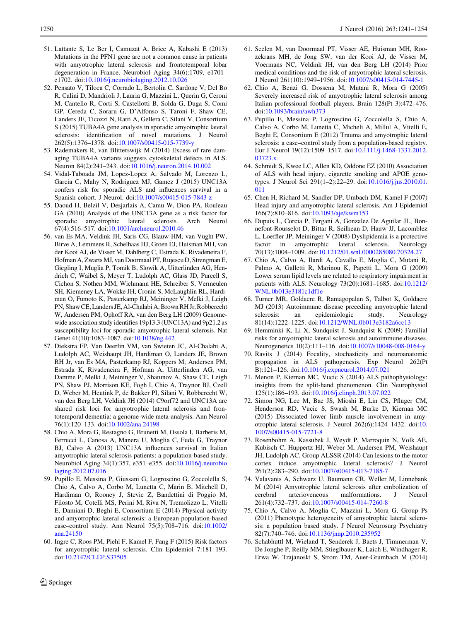- <span id="page-9-0"></span>51. Lattante S, Le Ber I, Camuzat A, Brice A, Kabashi E (2013) Mutations in the PFN1 gene are not a common cause in patients with amyotrophic lateral sclerosis and frontotemporal lobar degeneration in France. Neurobiol Aging 34(6):1709, e1701– e1702. doi[:10.1016/j.neurobiolaging.2012.10.026](http://dx.doi.org/10.1016/j.neurobiolaging.2012.10.026)
- 52. Pensato V, Tiloca C, Corrado L, Bertolin C, Sardone V, Del Bo R, Calini D, Mandrioli J, Lauria G, Mazzini L, Querin G, Ceroni M, Cantello R, Corti S, Castellotti B, Solda G, Duga S, Comi GP, Cereda C, Soraru G, D'Alfonso S, Taroni F, Shaw CE, Landers JE, Ticozzi N, Ratti A, Gellera C, Silani V, Consortium S (2015) TUBA4A gene analysis in sporadic amyotrophic lateral sclerosis: identification of novel mutations. J Neurol 262(5):1376–1378. doi:[10.1007/s00415-015-7739-y](http://dx.doi.org/10.1007/s00415-015-7739-y)
- 53. Rademakers R, van Blitterswijk M (2014) Excess of rare damaging TUBA4A variants suggests cytoskeletal defects in ALS. Neuron 84(2):241–243. doi[:10.1016/j.neuron.2014.10.002](http://dx.doi.org/10.1016/j.neuron.2014.10.002)
- 54. Vidal-Taboada JM, Lopez-Lopez A, Salvado M, Lorenzo L, Garcia C, Mahy N, Rodriguez MJ, Gamez J (2015) UNC13A confers risk for sporadic ALS and influences survival in a Spanish cohort. J Neurol. doi:[10.1007/s00415-015-7843-z](http://dx.doi.org/10.1007/s00415-015-7843-z)
- 55. Daoud H, Belzil V, Desjarlais A, Camu W, Dion PA, Rouleau GA (2010) Analysis of the UNC13A gene as a risk factor for sporadic amyotrophic lateral sclerosis. Arch Neurol 67(4):516–517. doi[:10.1001/archneurol.2010.46](http://dx.doi.org/10.1001/archneurol.2010.46)
- 56. van Es MA, Veldink JH, Saris CG, Blauw HM, van Vught PW, Birve A, Lemmens R, Schelhaas HJ, Groen EJ, Huisman MH, van der Kooi AJ, de Visser M, Dahlberg C, Estrada K, Rivadeneira F, Hofman A, Zwarts MJ, van Doormaal PT, Rujescu D, Strengman E, Giegling I, Muglia P, Tomik B, Slowik A, Uitterlinden AG, Hendrich C, Waibel S, Meyer T, Ludolph AC, Glass JD, Purcell S, Cichon S, Nothen MM, Wichmann HE, Schreiber S, Vermeulen SH, Kiemeney LA, Wokke JH, Cronin S, McLaughlin RL, Hardiman O, Fumoto K, Pasterkamp RJ, Meininger V, Melki J, Leigh PN, Shaw CE, Landers JE, Al-Chalabi A, Brown RH Jr, Robberecht W, Andersen PM, Ophoff RA, van den Berg LH (2009) Genomewide association study identifies 19p13.3 (UNC13A) and 9p21.2 as susceptibility loci for sporadic amyotrophic lateral sclerosis. Nat Genet 41(10):1083–1087. doi[:10.1038/ng.442](http://dx.doi.org/10.1038/ng.442)
- 57. Diekstra FP, Van Deerlin VM, van Swieten JC, Al-Chalabi A, Ludolph AC, Weishaupt JH, Hardiman O, Landers JE, Brown RH Jr, van Es MA, Pasterkamp RJ, Koppers M, Andersen PM, Estrada K, Rivadeneira F, Hofman A, Uitterlinden AG, van Damme P, Melki J, Meininger V, Shatunov A, Shaw CE, Leigh PN, Shaw PJ, Morrison KE, Fogh I, Chio A, Traynor BJ, Czell D, Weber M, Heutink P, de Bakker PI, Silani V, Robberecht W, van den Berg LH, Veldink JH (2014) C9orf72 and UNC13A are shared risk loci for amyotrophic lateral sclerosis and frontotemporal dementia: a genome-wide meta-analysis. Ann Neurol 76(1):120–133. doi[:10.1002/ana.24198](http://dx.doi.org/10.1002/ana.24198)
- 58. Chio A, Mora G, Restagno G, Brunetti M, Ossola I, Barberis M, Ferrucci L, Canosa A, Manera U, Moglia C, Fuda G, Traynor BJ, Calvo A (2013) UNC13A influences survival in Italian amyotrophic lateral sclerosis patients: a population-based study. Neurobiol Aging 34(1):357, e351–e355. doi:[10.1016/j.neurobio](http://dx.doi.org/10.1016/j.neurobiolaging.2012.07.016) [laging.2012.07.016](http://dx.doi.org/10.1016/j.neurobiolaging.2012.07.016)
- 59. Pupillo E, Messina P, Giussani G, Logroscino G, Zoccolella S, Chio A, Calvo A, Corbo M, Lunetta C, Marin B, Mitchell D, Hardiman O, Rooney J, Stevic Z, Bandettini di Poggio M, Filosto M, Cotelli MS, Perini M, Riva N, Tremolizzo L, Vitelli E, Damiani D, Beghi E, Consortium E (2014) Physical activity and amyotrophic lateral sclerosis: a European population-based case–control study. Ann Neurol 75(5):708–716. doi[:10.1002/](http://dx.doi.org/10.1002/ana.24150) [ana.24150](http://dx.doi.org/10.1002/ana.24150)
- 60. Ingre C, Roos PM, Piehl F, Kamel F, Fang F (2015) Risk factors for amyotrophic lateral sclerosis. Clin Epidemiol 7:181–193. doi:[10.2147/CLEP.S37505](http://dx.doi.org/10.2147/CLEP.S37505)
- 61. Seelen M, van Doormaal PT, Visser AE, Huisman MH, Roozekrans MH, de Jong SW, van der Kooi AJ, de Visser M, Voermans NC, Veldink JH, van den Berg LH (2014) Prior medical conditions and the risk of amyotrophic lateral sclerosis. J Neurol 261(10):1949–1956. doi:[10.1007/s00415-014-7445-1](http://dx.doi.org/10.1007/s00415-014-7445-1)
- 62. Chio A, Benzi G, Dossena M, Mutani R, Mora G (2005) Severely increased risk of amyotrophic lateral sclerosis among Italian professional football players. Brain 128(Pt 3):472–476. doi:[10.1093/brain/awh373](http://dx.doi.org/10.1093/brain/awh373)
- 63. Pupillo E, Messina P, Logroscino G, Zoccolella S, Chio A, Calvo A, Corbo M, Lunetta C, Micheli A, Millul A, Vitelli E, Beghi E, Consortium E (2012) Trauma and amyotrophic lateral sclerosis: a case–control study from a population-based registry. Eur J Neurol 19(12):1509–1517. doi:[10.1111/j.1468-1331.2012.](http://dx.doi.org/10.1111/j.1468-1331.2012.03723.x) [03723.x](http://dx.doi.org/10.1111/j.1468-1331.2012.03723.x)
- 64. Schmidt S, Kwee LC, Allen KD, Oddone EZ (2010) Association of ALS with head injury, cigarette smoking and APOE genotypes. J Neurol Sci 291(1–2):22–29. doi[:10.1016/j.jns.2010.01.](http://dx.doi.org/10.1016/j.jns.2010.01.011) [011](http://dx.doi.org/10.1016/j.jns.2010.01.011)
- 65. Chen H, Richard M, Sandler DP, Umbach DM, Kamel F (2007) Head injury and amyotrophic lateral sclerosis. Am J Epidemiol 166(7):810–816. doi[:10.1093/aje/kwm153](http://dx.doi.org/10.1093/aje/kwm153)
- 66. Dupuis L, Corcia P, Fergani A, Gonzalez De Aguilar JL, Bonnefont-Rousselot D, Bittar R, Seilhean D, Hauw JJ, Lacomblez L, Loeffler JP, Meininger V (2008) Dyslipidemia is a protective factor in amyotrophic lateral sclerosis. Neurology 70(13):1004–1009. doi:[10.1212/01.wnl.0000285080.70324.27](http://dx.doi.org/10.1212/01.wnl.0000285080.70324.27)
- 67. Chio A, Calvo A, Ilardi A, Cavallo E, Moglia C, Mutani R, Palmo A, Galletti R, Marinou K, Papetti L, Mora G (2009) Lower serum lipid levels are related to respiratory impairment in patients with ALS. Neurology 73(20):1681–1685. doi[:10.1212/](http://dx.doi.org/10.1212/WNL.0b013e3181c1df1e) [WNL.0b013e3181c1df1e](http://dx.doi.org/10.1212/WNL.0b013e3181c1df1e)
- 68. Turner MR, Goldacre R, Ramagopalan S, Talbot K, Goldacre MJ (2013) Autoimmune disease preceding amyotrophic lateral sclerosis: an epidemiologic study. Neurology 81(14):1222–1225. doi:[10.1212/WNL.0b013e3182a6cc13](http://dx.doi.org/10.1212/WNL.0b013e3182a6cc13)
- 69. Hemminki K, Li X, Sundquist J, Sundquist K (2009) Familial risks for amyotrophic lateral sclerosis and autoimmune diseases. Neurogenetics 10(2):111–116. doi:[10.1007/s10048-008-0164-y](http://dx.doi.org/10.1007/s10048-008-0164-y)
- 70. Ravits J (2014) Focality, stochasticity and neuroanatomic propagation in ALS pathogenesis. Exp Neurol 262(Pt B):121–126. doi[:10.1016/j.expneurol.2014.07.021](http://dx.doi.org/10.1016/j.expneurol.2014.07.021)
- 71. Menon P, Kiernan MC, Vucic S (2014) ALS pathophysiology: insights from the split-hand phenomenon. Clin Neurophysiol 125(1):186–193. doi[:10.1016/j.clinph.2013.07.022](http://dx.doi.org/10.1016/j.clinph.2013.07.022)
- 72. Simon NG, Lee M, Bae JS, Mioshi E, Lin CS, Pfluger CM, Henderson RD, Vucic S, Swash M, Burke D, Kiernan MC (2015) Dissociated lower limb muscle involvement in amyotrophic lateral sclerosis. J Neurol 262(6):1424–1432. doi:[10.](http://dx.doi.org/10.1007/s00415-015-7721-8) [1007/s00415-015-7721-8](http://dx.doi.org/10.1007/s00415-015-7721-8)
- 73. Rosenbohm A, Kassubek J, Weydt P, Marroquin N, Volk AE, Kubisch C, Huppertz HJ, Weber M, Andersen PM, Weishaupt JH, Ludolph AC, Group ALSSR (2014) Can lesions to the motor cortex induce amyotrophic lateral sclerosis? J Neurol 261(2):283–290. doi[:10.1007/s00415-013-7185-7](http://dx.doi.org/10.1007/s00415-013-7185-7)
- 74. Valavanis A, Schwarz U, Baumann CR, Weller M, Linnebank M (2014) Amyotrophic lateral sclerosis after embolization of cerebral arterioveneous malformations. J Neurol 261(4):732–737. doi[:10.1007/s00415-014-7260-8](http://dx.doi.org/10.1007/s00415-014-7260-8)
- 75. Chio A, Calvo A, Moglia C, Mazzini L, Mora G, Group Ps (2011) Phenotypic heterogeneity of amyotrophic lateral sclerosis: a population based study. J Neurol Neurosurg Psychiatry 82(7):740–746. doi[:10.1136/jnnp.2010.235952](http://dx.doi.org/10.1136/jnnp.2010.235952)
- 76. Schabhuttl M, Wieland T, Senderek J, Baets J, Timmerman V, De Jonghe P, Reilly MM, Stieglbauer K, Laich E, Windhager R, Erwa W, Trajanoski S, Strom TM, Auer-Grumbach M (2014)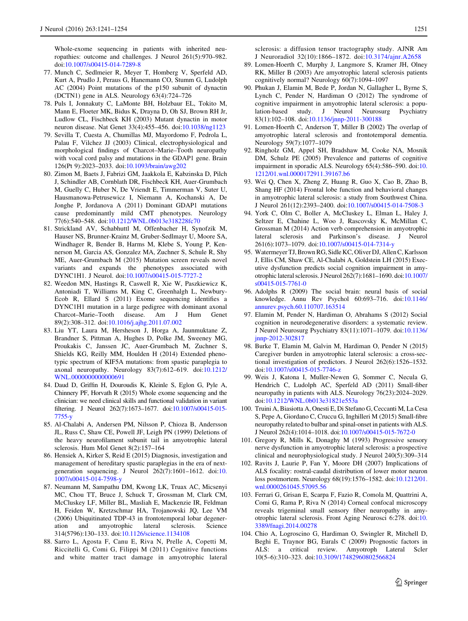<span id="page-10-0"></span>Whole-exome sequencing in patients with inherited neuropathies: outcome and challenges. J Neurol 261(5):970–982. doi:[10.1007/s00415-014-7289-8](http://dx.doi.org/10.1007/s00415-014-7289-8)

- 77. Munch C, Sedlmeier R, Meyer T, Homberg V, Sperfeld AD, Kurt A, Prudlo J, Peraus G, Hanemann CO, Stumm G, Ludolph AC (2004) Point mutations of the p150 subunit of dynactin (DCTN1) gene in ALS. Neurology 63(4):724–726
- 78. Puls I, Jonnakuty C, LaMonte BH, Holzbaur EL, Tokito M, Mann E, Floeter MK, Bidus K, Drayna D, Oh SJ, Brown RH Jr, Ludlow CL, Fischbeck KH (2003) Mutant dynactin in motor neuron disease. Nat Genet 33(4):455–456. doi[:10.1038/ng1123](http://dx.doi.org/10.1038/ng1123)
- 79. Sevilla T, Cuesta A, Chumillas MJ, Mayordomo F, Pedrola L, Palau F, Vilchez JJ (2003) Clinical, electrophysiological and morphological findings of Charcot–Marie–Tooth neuropathy with vocal cord palsy and mutations in the GDAP1 gene. Brain 126(Pt 9):2023–2033. doi:[10.1093/brain/awg202](http://dx.doi.org/10.1093/brain/awg202)
- 80. Zimon M, Baets J, Fabrizi GM, Jaakkola E, Kabzinska D, Pilch J, Schindler AB, Cornblath DR, Fischbeck KH, Auer-Grumbach M, Guelly C, Huber N, De Vriendt E, Timmerman V, Suter U, Hausmanowa-Petrusewicz I, Niemann A, Kochanski A, De Jonghe P, Jordanova A (2011) Dominant GDAP1 mutations cause predominantly mild CMT phenotypes. Neurology 77(6):540–548. doi[:10.1212/WNL.0b013e318228fc70](http://dx.doi.org/10.1212/WNL.0b013e318228fc70)
- 81. Strickland AV, Schabhuttl M, Offenbacher H, Synofzik M, Hauser NS, Brunner-Krainz M, Gruber-Sedlmayr U, Moore SA, Windhager R, Bender B, Harms M, Klebe S, Young P, Kennerson M, Garcia AS, Gonzalez MA, Zuchner S, Schule R, Shy ME, Auer-Grumbach M (2015) Mutation screen reveals novel variants and expands the phenotypes associated with DYNC1H1. J Neurol. doi:[10.1007/s00415-015-7727-2](http://dx.doi.org/10.1007/s00415-015-7727-2)
- 82. Weedon MN, Hastings R, Caswell R, Xie W, Paszkiewicz K, Antoniadi T, Williams M, King C, Greenhalgh L, Newbury-Ecob R, Ellard S (2011) Exome sequencing identifies a DYNC1H1 mutation in a large pedigree with dominant axonal Charcot–Marie–Tooth disease. Am J Hum Genet 89(2):308–312. doi[:10.1016/j.ajhg.2011.07.002](http://dx.doi.org/10.1016/j.ajhg.2011.07.002)
- 83. Liu YT, Laura M, Hersheson J, Horga A, Jaunmuktane Z, Brandner S, Pittman A, Hughes D, Polke JM, Sweeney MG, Proukakis C, Janssen JC, Auer-Grumbach M, Zuchner S, Shields KG, Reilly MM, Houlden H (2014) Extended phenotypic spectrum of KIF5A mutations: from spastic paraplegia to axonal neuropathy. Neurology 83(7):612–619. doi[:10.1212/](http://dx.doi.org/10.1212/WNL.0000000000000691) [WNL.0000000000000691](http://dx.doi.org/10.1212/WNL.0000000000000691)
- 84. Daud D, Griffin H, Douroudis K, Kleinle S, Eglon G, Pyle A, Chinnery PF, Horvath R (2015) Whole exome sequencing and the clinician: we need clinical skills and functional validation in variant filtering. J Neurol 262(7):1673–1677. doi:[10.1007/s00415-015-](http://dx.doi.org/10.1007/s00415-015-7755-y) [7755-y](http://dx.doi.org/10.1007/s00415-015-7755-y)
- 85. Al-Chalabi A, Andersen PM, Nilsson P, Chioza B, Andersson JL, Russ C, Shaw CE, Powell JF, Leigh PN (1999) Deletions of the heavy neurofilament subunit tail in amyotrophic lateral sclerosis. Hum Mol Genet 8(2):157–164
- 86. Hensiek A, Kirker S, Reid E (2015) Diagnosis, investigation and management of hereditary spastic paraplegias in the era of nextgeneration sequencing. J Neurol 262(7):1601–1612. doi:[10.](http://dx.doi.org/10.1007/s00415-014-7598-y) [1007/s00415-014-7598-y](http://dx.doi.org/10.1007/s00415-014-7598-y)
- 87. Neumann M, Sampathu DM, Kwong LK, Truax AC, Micsenyi MC, Chou TT, Bruce J, Schuck T, Grossman M, Clark CM, McCluskey LF, Miller BL, Masliah E, Mackenzie IR, Feldman H, Feiden W, Kretzschmar HA, Trojanowski JQ, Lee VM (2006) Ubiquitinated TDP-43 in frontotemporal lobar degeneration and amyotrophic lateral sclerosis. Science 314(5796):130–133. doi:[10.1126/science.1134108](http://dx.doi.org/10.1126/science.1134108)
- 88. Sarro L, Agosta F, Canu E, Riva N, Prelle A, Copetti M, Riccitelli G, Comi G, Filippi M (2011) Cognitive functions and white matter tract damage in amyotrophic lateral

sclerosis: a diffusion tensor tractography study. AJNR Am J Neuroradiol 32(10):1866–1872. doi:[10.3174/ajnr.A2658](http://dx.doi.org/10.3174/ajnr.A2658)

- 89. Lomen-Hoerth C, Murphy J, Langmore S, Kramer JH, Olney RK, Miller B (2003) Are amyotrophic lateral sclerosis patients cognitively normal? Neurology 60(7):1094–1097
- 90. Phukan J, Elamin M, Bede P, Jordan N, Gallagher L, Byrne S, Lynch C, Pender N, Hardiman O (2012) The syndrome of cognitive impairment in amyotrophic lateral sclerosis: a population-based study. J Neurol Neurosurg Psychiatry 83(1):102–108. doi[:10.1136/jnnp-2011-300188](http://dx.doi.org/10.1136/jnnp-2011-300188)
- 91. Lomen-Hoerth C, Anderson T, Miller B (2002) The overlap of amyotrophic lateral sclerosis and frontotemporal dementia. Neurology 59(7):1077–1079
- 92. Ringholz GM, Appel SH, Bradshaw M, Cooke NA, Mosnik DM, Schulz PE (2005) Prevalence and patterns of cognitive impairment in sporadic ALS. Neurology 65(4):586–590. doi:[10.](http://dx.doi.org/10.1212/01.wnl.0000172911.39167.b6) [1212/01.wnl.0000172911.39167.b6](http://dx.doi.org/10.1212/01.wnl.0000172911.39167.b6)
- 93. Wei Q, Chen X, Zheng Z, Huang R, Guo X, Cao B, Zhao B, Shang HF (2014) Frontal lobe function and behavioral changes in amyotrophic lateral sclerosis: a study from Southwest China. J Neurol 261(12):2393–2400. doi:[10.1007/s00415-014-7508-3](http://dx.doi.org/10.1007/s00415-014-7508-3)
- 94. York C, Olm C, Boller A, McCluskey L, Elman L, Haley J, Seltzer E, Chahine L, Woo J, Rascovsky K, McMillan C, Grossman M (2014) Action verb comprehension in amyotrophic lateral sclerosis and Parkinson's disease. J Neurol 261(6):1073–1079. doi:[10.1007/s00415-014-7314-y](http://dx.doi.org/10.1007/s00415-014-7314-y)
- 95. Watermeyer TJ, Brown RG, Sidle KC, Oliver DJ, Allen C, Karlsson J, Ellis CM, Shaw CE, Al-Chalabi A, Goldstein LH (2015) Executive dysfunction predicts social cognition impairment in amyotrophic lateral sclerosis. J Neurol 262(7):1681–1690. doi:[10.1007/](http://dx.doi.org/10.1007/s00415-015-7761-0) [s00415-015-7761-0](http://dx.doi.org/10.1007/s00415-015-7761-0)
- 96. Adolphs R (2009) The social brain: neural basis of social knowledge. Annu Rev Psychol 60:693–716. doi[:10.1146/](http://dx.doi.org/10.1146/annurev.psych.60.110707.163514) [annurev.psych.60.110707.163514](http://dx.doi.org/10.1146/annurev.psych.60.110707.163514)
- 97. Elamin M, Pender N, Hardiman O, Abrahams S (2012) Social cognition in neurodegenerative disorders: a systematic review. J Neurol Neurosurg Psychiatry 83(11):1071–1079. doi[:10.1136/](http://dx.doi.org/10.1136/jnnp-2012-302817) [jnnp-2012-302817](http://dx.doi.org/10.1136/jnnp-2012-302817)
- 98. Burke T, Elamin M, Galvin M, Hardiman O, Pender N (2015) Caregiver burden in amyotrophic lateral sclerosis: a cross-sectional investigation of predictors. J Neurol 262(6):1526–1532. doi:[10.1007/s00415-015-7746-z](http://dx.doi.org/10.1007/s00415-015-7746-z)
- 99. Weis J, Katona I, Muller-Newen G, Sommer C, Necula G, Hendrich C, Ludolph AC, Sperfeld AD (2011) Small-fiber neuropathy in patients with ALS. Neurology 76(23):2024–2029. doi:[10.1212/WNL.0b013e31821e553a](http://dx.doi.org/10.1212/WNL.0b013e31821e553a)
- 100. Truini A, Biasiotta A, Onesti E, Di Stefano G, Ceccanti M, La Cesa S, Pepe A, Giordano C, Cruccu G, Inghilleri M (2015) Small-fibre neuropathy related to bulbar and spinal-onset in patients with ALS. J Neurol 262(4):1014–1018. doi:[10.1007/s00415-015-7672-0](http://dx.doi.org/10.1007/s00415-015-7672-0)
- 101. Gregory R, Mills K, Donaghy M (1993) Progressive sensory nerve dysfunction in amyotrophic lateral sclerosis: a prospective clinical and neurophysiological study. J Neurol 240(5):309–314
- 102. Ravits J, Laurie P, Fan Y, Moore DH (2007) Implications of ALS focality: rostral-caudal distribution of lower motor neuron loss postmortem. Neurology 68(19):1576–1582. doi:[10.1212/01.](http://dx.doi.org/10.1212/01.wnl.0000261045.57095.56) [wnl.0000261045.57095.56](http://dx.doi.org/10.1212/01.wnl.0000261045.57095.56)
- 103. Ferrari G, Grisan E, Scarpa F, Fazio R, Comola M, Quattrini A, Comi G, Rama P, Riva N (2014) Corneal confocal microscopy reveals trigeminal small sensory fiber neuropathy in amyotrophic lateral sclerosis. Front Aging Neurosci 6:278. doi:[10.](http://dx.doi.org/10.3389/fnagi.2014.00278) [3389/fnagi.2014.00278](http://dx.doi.org/10.3389/fnagi.2014.00278)
- 104. Chio A, Logroscino G, Hardiman O, Swingler R, Mitchell D, Beghi E, Traynor BG, Eurals C (2009) Prognostic factors in ALS: a critical review. Amyotroph Lateral Scler 10(5–6):310–323. doi:[10.3109/17482960802566824](http://dx.doi.org/10.3109/17482960802566824)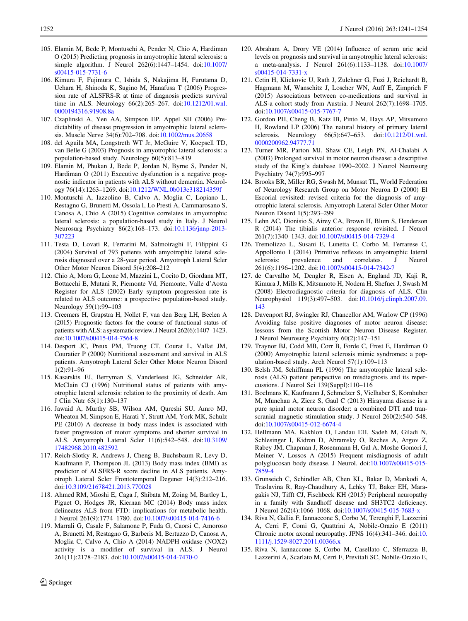- <span id="page-11-0"></span>105. Elamin M, Bede P, Montuschi A, Pender N, Chio A, Hardiman O (2015) Predicting prognosis in amyotrophic lateral sclerosis: a simple algorithm. J Neurol 262(6):1447–1454. doi[:10.1007/](http://dx.doi.org/10.1007/s00415-015-7731-6) [s00415-015-7731-6](http://dx.doi.org/10.1007/s00415-015-7731-6)
- 106. Kimura F, Fujimura C, Ishida S, Nakajima H, Furutama D, Uehara H, Shinoda K, Sugino M, Hanafusa T (2006) Progression rate of ALSFRS-R at time of diagnosis predicts survival time in ALS. Neurology 66(2):265–267. doi:[10.1212/01.wnl.](http://dx.doi.org/10.1212/01.wnl.0000194316.91908.8a) [0000194316.91908.8a](http://dx.doi.org/10.1212/01.wnl.0000194316.91908.8a)
- 107. Czaplinski A, Yen AA, Simpson EP, Appel SH (2006) Predictability of disease progression in amyotrophic lateral sclerosis. Muscle Nerve 34(6):702–708. doi[:10.1002/mus.20658](http://dx.doi.org/10.1002/mus.20658)
- 108. del Aguila MA, Longstreth WT Jr, McGuire V, Koepsell TD, van Belle G (2003) Prognosis in amyotrophic lateral sclerosis: a population-based study. Neurology 60(5):813–819
- 109. Elamin M, Phukan J, Bede P, Jordan N, Byrne S, Pender N, Hardiman O (2011) Executive dysfunction is a negative prognostic indicator in patients with ALS without dementia. Neurology 76(14):1263–1269. doi:[10.1212/WNL.0b013e318214359f](http://dx.doi.org/10.1212/WNL.0b013e318214359f)
- 110. Montuschi A, Iazzolino B, Calvo A, Moglia C, Lopiano L, Restagno G, Brunetti M, Ossola I, Lo Presti A, Cammarosano S, Canosa A, Chio A (2015) Cognitive correlates in amyotrophic lateral sclerosis: a population-based study in Italy. J Neurol Neurosurg Psychiatry 86(2):168–173. doi:[10.1136/jnnp-2013-](http://dx.doi.org/10.1136/jnnp-2013-307223) [307223](http://dx.doi.org/10.1136/jnnp-2013-307223)
- 111. Testa D, Lovati R, Ferrarini M, Salmoiraghi F, Filippini G (2004) Survival of 793 patients with amyotrophic lateral sclerosis diagnosed over a 28-year period. Amyotroph Lateral Scler Other Motor Neuron Disord 5(4):208–212
- 112. Chio A, Mora G, Leone M, Mazzini L, Cocito D, Giordana MT, Bottacchi E, Mutani R, Piemonte Vd, Piemonte, Valle d'Aosta Register for ALS (2002) Early symptom progression rate is related to ALS outcome: a prospective population-based study. Neurology 59(1):99–103
- 113. Creemers H, Grupstra H, Nollet F, van den Berg LH, Beelen A (2015) Prognostic factors for the course of functional status of patients with ALS: a systematic review. J Neurol 262(6):1407–1423. doi[:10.1007/s00415-014-7564-8](http://dx.doi.org/10.1007/s00415-014-7564-8)
- 114. Desport JC, Preux PM, Truong CT, Courat L, Vallat JM, Couratier P (2000) Nutritional assessment and survival in ALS patients. Amyotroph Lateral Scler Other Motor Neuron Disord 1(2):91–96
- 115. Kasarskis EJ, Berryman S, Vanderleest JG, Schneider AR, McClain CJ (1996) Nutritional status of patients with amyotrophic lateral sclerosis: relation to the proximity of death. Am J Clin Nutr 63(1):130–137
- 116. Jawaid A, Murthy SB, Wilson AM, Qureshi SU, Amro MJ, Wheaton M, Simpson E, Harati Y, Strutt AM, York MK, Schulz PE (2010) A decrease in body mass index is associated with faster progression of motor symptoms and shorter survival in ALS. Amyotroph Lateral Scler 11(6):542–548. doi[:10.3109/](http://dx.doi.org/10.3109/17482968.2010.482592) [17482968.2010.482592](http://dx.doi.org/10.3109/17482968.2010.482592)
- 117. Reich-Slotky R, Andrews J, Cheng B, Buchsbaum R, Levy D, Kaufmann P, Thompson JL (2013) Body mass index (BMI) as predictor of ALSFRS-R score decline in ALS patients. Amyotroph Lateral Scler Frontotemporal Degener 14(3):212–216. doi:[10.3109/21678421.2013.770028](http://dx.doi.org/10.3109/21678421.2013.770028)
- 118. Ahmed RM, Mioshi E, Caga J, Shibata M, Zoing M, Bartley L, Piguet O, Hodges JR, Kiernan MC (2014) Body mass index delineates ALS from FTD: implications for metabolic health. J Neurol 261(9):1774–1780. doi[:10.1007/s00415-014-7416-6](http://dx.doi.org/10.1007/s00415-014-7416-6)
- 119. Marrali G, Casale F, Salamone P, Fuda G, Caorsi C, Amoroso A, Brunetti M, Restagno G, Barberis M, Bertuzzo D, Canosa A, Moglia C, Calvo A, Chio A (2014) NADPH oxidase (NOX2) activity is a modifier of survival in ALS. J Neurol 261(11):2178–2183. doi:[10.1007/s00415-014-7470-0](http://dx.doi.org/10.1007/s00415-014-7470-0)
- 120. Abraham A, Drory VE (2014) Influence of serum uric acid levels on prognosis and survival in amyotrophic lateral sclerosis: a meta-analysis. J Neurol 261(6):1133–1138. doi[:10.1007/](http://dx.doi.org/10.1007/s00415-014-7331-x) [s00415-014-7331-x](http://dx.doi.org/10.1007/s00415-014-7331-x)
- 121. Cetin H, Klickovic U, Rath J, Zulehner G, Fuzi J, Reichardt B, Hagmann M, Wanschitz J, Loscher WN, Auff E, Zimprich F (2015) Associations between co-medications and survival in ALS-a cohort study from Austria. J Neurol 262(7):1698–1705. doi:[10.1007/s00415-015-7767-7](http://dx.doi.org/10.1007/s00415-015-7767-7)
- 122. Gordon PH, Cheng B, Katz IB, Pinto M, Hays AP, Mitsumoto H, Rowland LP (2006) The natural history of primary lateral sclerosis. Neurology 66(5):647–653. doi:[10.1212/01.wnl.](http://dx.doi.org/10.1212/01.wnl.0000200962.94777.71) [0000200962.94777.71](http://dx.doi.org/10.1212/01.wnl.0000200962.94777.71)
- 123. Turner MR, Parton MJ, Shaw CE, Leigh PN, Al-Chalabi A (2003) Prolonged survival in motor neuron disease: a descriptive study of the King's database 1990–2002. J Neurol Neurosurg Psychiatry 74(7):995–997
- 124. Brooks BR, Miller RG, Swash M, Munsat TL, World Federation of Neurology Research Group on Motor Neuron D (2000) El Escorial revisited: revised criteria for the diagnosis of amyotrophic lateral sclerosis. Amyotroph Lateral Scler Other Motor Neuron Disord 1(5):293–299
- 125. Lehn AC, Dionisio S, Airey CA, Brown H, Blum S, Henderson R (2014) The tibialis anterior response revisited. J Neurol 261(7):1340–1343. doi:[10.1007/s00415-014-7329-4](http://dx.doi.org/10.1007/s00415-014-7329-4)
- 126. Tremolizzo L, Susani E, Lunetta C, Corbo M, Ferrarese C, Appollonio I (2014) Primitive reflexes in amyotrophic lateral sclerosis: prevalence and correlates. J Neurol 261(6):1196–1202. doi:[10.1007/s00415-014-7342-7](http://dx.doi.org/10.1007/s00415-014-7342-7)
- 127. de Carvalho M, Dengler R, Eisen A, England JD, Kaji R, Kimura J, Mills K, Mitsumoto H, Nodera H, Shefner J, Swash M (2008) Electrodiagnostic criteria for diagnosis of ALS. Clin Neurophysiol 119(3):497–503. doi:[10.1016/j.clinph.2007.09.](http://dx.doi.org/10.1016/j.clinph.2007.09.143) [143](http://dx.doi.org/10.1016/j.clinph.2007.09.143)
- 128. Davenport RJ, Swingler RJ, Chancellor AM, Warlow CP (1996) Avoiding false positive diagnoses of motor neuron disease: lessons from the Scottish Motor Neuron Disease Register. J Neurol Neurosurg Psychiatry 60(2):147–151
- 129. Traynor BJ, Codd MB, Corr B, Forde C, Frost E, Hardiman O (2000) Amyotrophic lateral sclerosis mimic syndromes: a population-based study. Arch Neurol 57(1):109–113
- 130. Belsh JM, Schiffman PL (1996) The amyotrophic lateral sclerosis (ALS) patient perspective on misdiagnosis and its repercussions. J Neurol Sci 139(Suppl):110–116
- 131. Boelmans K, Kaufmann J, Schmelzer S, Vielhaber S, Kornhuber M, Munchau A, Zierz S, Gaul C (2013) Hirayama disease is a pure spinal motor neuron disorder: a combined DTI and transcranial magnetic stimulation study. J Neurol 260(2):540–548. doi:[10.1007/s00415-012-6674-4](http://dx.doi.org/10.1007/s00415-012-6674-4)
- 132. Hellmann MA, Kakhlon O, Landau EH, Sadeh M, Giladi N, Schlesinger I, Kidron D, Abramsky O, Reches A, Argov Z, Rabey JM, Chapman J, Rosenmann H, Gal A, Moshe Gomori J, Meiner V, Lossos A (2015) Frequent misdiagnosis of adult polyglucosan body disease. J Neurol. doi:[10.1007/s00415-015-](http://dx.doi.org/10.1007/s00415-015-7859-4) [7859-4](http://dx.doi.org/10.1007/s00415-015-7859-4)
- 133. Grunseich C, Schindler AB, Chen KL, Bakar D, Mankodi A, Traslavina R, Ray-Chaudhury A, Lehky TJ, Baker EH, Maragakis NJ, Tifft CJ, Fischbeck KH (2015) Peripheral neuropathy in a family with Sandhoff disease and SH3TC2 deficiency. J Neurol 262(4):1066–1068. doi[:10.1007/s00415-015-7683-x](http://dx.doi.org/10.1007/s00415-015-7683-x)
- 134. Riva N, Gallia F, Iannaccone S, Corbo M, Terenghi F, Lazzerini A, Cerri F, Comi G, Quattrini A, Nobile-Orazio E (2011) Chronic motor axonal neuropathy. JPNS 16(4):341–346. doi:[10.](http://dx.doi.org/10.1111/j.1529-8027.2011.00366.x) [1111/j.1529-8027.2011.00366.x](http://dx.doi.org/10.1111/j.1529-8027.2011.00366.x)
- 135. Riva N, Iannaccone S, Corbo M, Casellato C, Sferrazza B, Lazzerini A, Scarlato M, Cerri F, Previtali SC, Nobile-Orazio E,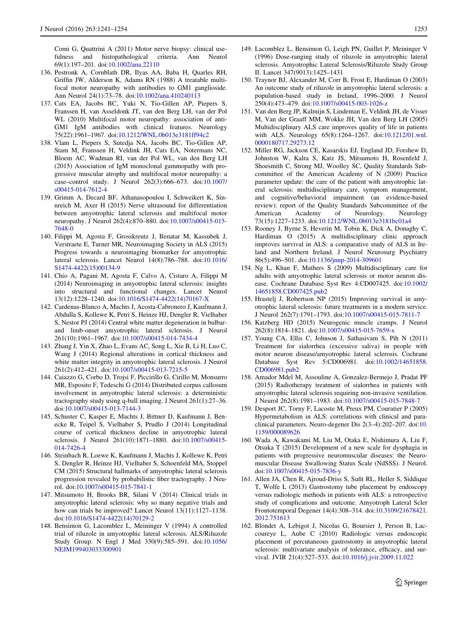<span id="page-12-0"></span>Comi G, Quattrini A (2011) Motor nerve biopsy: clinical usefulness and histopathological criteria. Ann Neurol 69(1):197–201. doi[:10.1002/ana.22110](http://dx.doi.org/10.1002/ana.22110)

- 136. Pestronk A, Cornblath DR, Ilyas AA, Baba H, Quarles RH, Griffin JW, Alderson K, Adams RN (1988) A treatable multifocal motor neuropathy with antibodies to GM1 ganglioside. Ann Neurol 24(1):73–78. doi[:10.1002/ana.410240113](http://dx.doi.org/10.1002/ana.410240113)
- 137. Cats EA, Jacobs BC, Yuki N, Tio-Gillen AP, Piepers S, Franssen H, van Asseldonk JT, van den Berg LH, van der Pol WL (2010) Multifocal motor neuropathy: association of anti-GM1 IgM antibodies with clinical features. Neurology 75(22):1961–1967. doi:[10.1212/WNL.0b013e3181ff94c2](http://dx.doi.org/10.1212/WNL.0b013e3181ff94c2)
- 138. Vlam L, Piepers S, Sutedja NA, Jacobs BC, Tio-Gillen AP, Stam M, Franssen H, Veldink JH, Cats EA, Notermans NC, Bloem AC, Wadman RI, van der Pol WL, van den Berg LH (2015) Association of IgM monoclonal gammopathy with progressive muscular atrophy and multifocal motor neuropathy: a case–control study. J Neurol 262(3):666–673. doi[:10.1007/](http://dx.doi.org/10.1007/s00415-014-7612-4) [s00415-014-7612-4](http://dx.doi.org/10.1007/s00415-014-7612-4)
- 139. Grimm A, Decard BF, Athanasopoulou I, Schweikert K, Sinnreich M, Axer H (2015) Nerve ultrasound for differentiation between amyotrophic lateral sclerosis and multifocal motor neuropathy. J Neurol 262(4):870–880. doi[:10.1007/s00415-015-](http://dx.doi.org/10.1007/s00415-015-7648-0) [7648-0](http://dx.doi.org/10.1007/s00415-015-7648-0)
- 140. Filippi M, Agosta F, Grosskreutz J, Benatar M, Kassubek J, Verstraete E, Turner MR, Neuroimaging Society in ALS (2015) Progress towards a neuroimaging biomarker for amyotrophic lateral sclerosis. Lancet Neurol 14(8):786–788. doi[:10.1016/](http://dx.doi.org/10.1016/S1474-4422(15)00134-9) [S1474-4422\(15\)00134-9](http://dx.doi.org/10.1016/S1474-4422(15)00134-9)
- 141. Chio A, Pagani M, Agosta F, Calvo A, Cistaro A, Filippi M (2014) Neuroimaging in amyotrophic lateral sclerosis: insights into structural and functional changes. Lancet Neurol 13(12):1228–1240. doi:[10.1016/S1474-4422\(14\)70167-X](http://dx.doi.org/10.1016/S1474-4422(14)70167-X)
- 142. Cardenas-Blanco A, Machts J, Acosta-Cabronero J, Kaufmann J, Abdulla S, Kollewe K, Petri S, Heinze HJ, Dengler R, Vielhaber S, Nestor PJ (2014) Central white matter degeneration in bulbarand limb-onset amyotrophic lateral sclerosis. J Neurol 261(10):1961–1967. doi:[10.1007/s00415-014-7434-4](http://dx.doi.org/10.1007/s00415-014-7434-4)
- 143. Zhang J, Yin X, Zhao L, Evans AC, Song L, Xie B, Li H, Luo C, Wang J (2014) Regional alterations in cortical thickness and white matter integrity in amyotrophic lateral sclerosis. J Neurol 261(2):412–421. doi[:10.1007/s00415-013-7215-5](http://dx.doi.org/10.1007/s00415-013-7215-5)
- 144. Caiazzo G, Corbo D, Trojsi F, Piccirillo G, Cirillo M, Monsurro MR, Esposito F, Tedeschi G (2014) Distributed corpus callosum involvement in amyotrophic lateral sclerosis: a deterministic tractography study using q-ball imaging. J Neurol 261(1):27–36. doi:[10.1007/s00415-013-7144-3](http://dx.doi.org/10.1007/s00415-013-7144-3)
- 145. Schuster C, Kasper E, Machts J, Bittner D, Kaufmann J, Benecke R, Teipel S, Vielhaber S, Prudlo J (2014) Longitudinal course of cortical thickness decline in amyotrophic lateral sclerosis. J Neurol 261(10):1871–1880. doi:[10.1007/s00415-](http://dx.doi.org/10.1007/s00415-014-7426-4) [014-7426-4](http://dx.doi.org/10.1007/s00415-014-7426-4)
- 146. Steinbach R, Loewe K, Kaufmann J, Machts J, Kollewe K, Petri S, Dengler R, Heinze HJ, Vielhaber S, Schoenfeld MA, Stoppel CM (2015) Structural hallmarks of amyotrophic lateral sclerosis progression revealed by probabilistic fiber tractography. J Neurol. doi[:10.1007/s00415-015-7841-1](http://dx.doi.org/10.1007/s00415-015-7841-1)
- 147. Mitsumoto H, Brooks BR, Silani V (2014) Clinical trials in amyotrophic lateral sclerosis: why so many negative trials and how can trials be improved? Lancet Neurol  $13(11):1127-1138$ . doi:[10.1016/S1474-4422\(14\)70129-2](http://dx.doi.org/10.1016/S1474-4422(14)70129-2)
- 148. Bensimon G, Lacomblez L, Meininger V (1994) A controlled trial of riluzole in amyotrophic lateral sclerosis. ALS/Riluzole Study Group. N Engl J Med 330(9):585–591. doi[:10.1056/](http://dx.doi.org/10.1056/NEJM199403033300901) [NEJM199403033300901](http://dx.doi.org/10.1056/NEJM199403033300901)
- 149. Lacomblez L, Bensimon G, Leigh PN, Guillet P, Meininger V (1996) Dose-ranging study of riluzole in amyotrophic lateral sclerosis. Amyotrophic Lateral Sclerosis/Riluzole Study Group II. Lancet 347(9013):1425–1431
- 150. Traynor BJ, Alexander M, Corr B, Frost E, Hardiman O (2003) An outcome study of riluzole in amyotrophic lateral sclerosis: a population-based study in Ireland, 1996–2000. J Neurol 250(4):473–479. doi[:10.1007/s00415-003-1026-z](http://dx.doi.org/10.1007/s00415-003-1026-z)
- 151. Van den Berg JP, Kalmijn S, Lindeman E, Veldink JH, de Visser M, Van der Graaff MM, Wokke JH, Van den Berg LH (2005) Multidisciplinary ALS care improves quality of life in patients with ALS. Neurology 65(8):1264–1267. doi:[10.1212/01.wnl.](http://dx.doi.org/10.1212/01.wnl.0000180717.29273.12) [0000180717.29273.12](http://dx.doi.org/10.1212/01.wnl.0000180717.29273.12)
- 152. Miller RG, Jackson CE, Kasarskis EJ, England JD, Forshew D, Johnston W, Kalra S, Katz JS, Mitsumoto H, Rosenfeld J, Shoesmith C, Strong MJ, Woolley SC, Quality Standards Subcommittee of the American Academy of N (2009) Practice parameter update: the care of the patient with amyotrophic lateral sclerosis: multidisciplinary care, symptom management, and cognitive/behavioral impairment (an evidence-based review): report of the Quality Standards Subcommittee of the American Academy of Neurology. Neurology 73(15):1227–1233. doi:[10.1212/WNL.0b013e3181bc01a4](http://dx.doi.org/10.1212/WNL.0b013e3181bc01a4)
- 153. Rooney J, Byrne S, Heverin M, Tobin K, Dick A, Donaghy C, Hardiman O (2015) A multidisciplinary clinic approach improves survival in ALS: a comparative study of ALS in Ireland and Northern Ireland. J Neurol Neurosurg Psychiatry 86(5):496–501. doi[:10.1136/jnnp-2014-309601](http://dx.doi.org/10.1136/jnnp-2014-309601)
- 154. Ng L, Khan F, Mathers S (2009) Multidisciplinary care for adults with amyotrophic lateral sclerosis or motor neuron disease. Cochrane Database Syst Rev 4:CD007425. doi[:10.1002/](http://dx.doi.org/10.1002/14651858.CD007425.pub2) [14651858.CD007425.pub2](http://dx.doi.org/10.1002/14651858.CD007425.pub2)
- 155. Hrastelj J, Robertson NP (2015) Improving survival in amyotrophic lateral sclerosis: future treatments in a modern service. J Neurol 262(7):1791–1793. doi[:10.1007/s00415-015-7811-7](http://dx.doi.org/10.1007/s00415-015-7811-7)
- 156. Katzberg HD (2015) Neurogenic muscle cramps. J Neurol 262(8):1814–1821. doi:[10.1007/s00415-015-7659-x](http://dx.doi.org/10.1007/s00415-015-7659-x)
- 157. Young CA, Ellis C, Johnson J, Sathasivam S, Pih N (2011) Treatment for sialorrhea (excessive saliva) in people with motor neuron disease/amyotrophic lateral sclerosis. Cochrane Database Syst Rev 5:CD006981. doi[:10.1002/14651858.](http://dx.doi.org/10.1002/14651858.CD006981.pub2) [CD006981.pub2](http://dx.doi.org/10.1002/14651858.CD006981.pub2)
- 158. Amador Mdel M, Assouline A, Gonzalez-Bermejo J, Pradat PF (2015) Radiotherapy treatment of sialorrhea in patients with amyotrophic lateral sclerosis requiring non-invasive ventilation. J Neurol 262(8):1981–1983. doi[:10.1007/s00415-015-7848-7](http://dx.doi.org/10.1007/s00415-015-7848-7)
- 159. Desport JC, Torny F, Lacoste M, Preux PM, Couratier P (2005) Hypermetabolism in ALS: correlations with clinical and paraclinical parameters. Neuro-degener Dis 2(3–4):202–207. doi:[10.](http://dx.doi.org/10.1159/000089626) [1159/000089626](http://dx.doi.org/10.1159/000089626)
- 160. Wada A, Kawakami M, Liu M, Otaka E, Nishimura A, Liu F, Otsuka T (2015) Development of a new scale for dysphagia in patients with progressive neuromuscular diseases: the Neuromuscular Disease Swallowing Status Scale (NdSSS). J Neurol. doi:[10.1007/s00415-015-7836-y](http://dx.doi.org/10.1007/s00415-015-7836-y)
- 161. Allen JA, Chen R, Ajroud-Driss S, Sufit RL, Heller S, Siddique T, Wolfe L (2013) Gastrostomy tube placement by endoscopy versus radiologic methods in patients with ALS: a retrospective study of complications and outcome. Amyotroph Lateral Scler Frontotemporal Degener 14(4):308–314. doi[:10.3109/21678421.](http://dx.doi.org/10.3109/21678421.2012.751613) [2012.751613](http://dx.doi.org/10.3109/21678421.2012.751613)
- 162. Blondet A, Lebigot J, Nicolas G, Boursier J, Person B, Laccoureye L, Aube C (2010) Radiologic versus endoscopic placement of percutaneous gastrostomy in amyotrophic lateral sclerosis: multivariate analysis of tolerance, efficacy, and survival. JVIR 21(4):527–533. doi:[10.1016/j.jvir.2009.11.022](http://dx.doi.org/10.1016/j.jvir.2009.11.022)